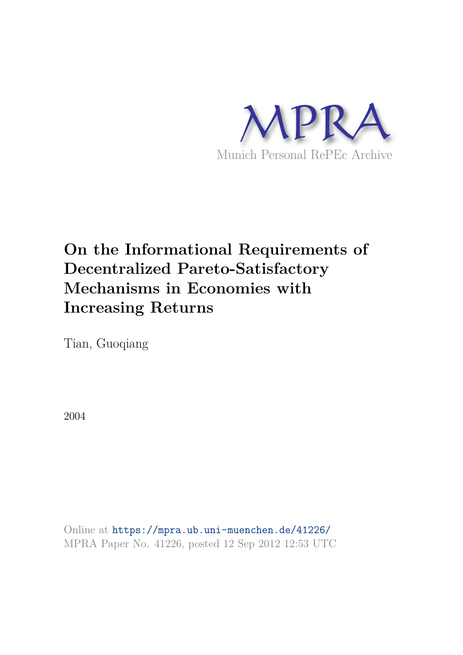

# **On the Informational Requirements of Decentralized Pareto-Satisfactory Mechanisms in Economies with Increasing Returns**

Tian, Guoqiang

2004

Online at https://mpra.ub.uni-muenchen.de/41226/ MPRA Paper No. 41226, posted 12 Sep 2012 12:53 UTC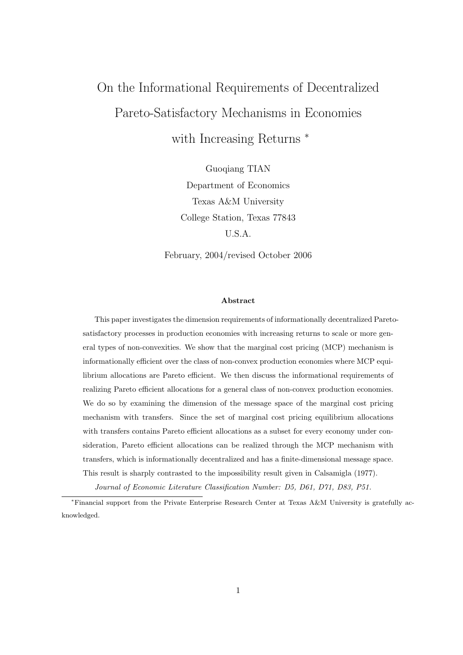# On the Informational Requirements of Decentralized Pareto-Satisfactory Mechanisms in Economies with Increasing Returns<sup>\*</sup>

Guoqiang TIAN Department of Economics Texas A&M University College Station, Texas 77843 U.S.A.

February, 2004/revised October 2006

#### Abstract

This paper investigates the dimension requirements of informationally decentralized Paretosatisfactory processes in production economies with increasing returns to scale or more general types of non-convexities. We show that the marginal cost pricing (MCP) mechanism is informationally efficient over the class of non-convex production economies where MCP equilibrium allocations are Pareto efficient. We then discuss the informational requirements of realizing Pareto efficient allocations for a general class of non-convex production economies. We do so by examining the dimension of the message space of the marginal cost pricing mechanism with transfers. Since the set of marginal cost pricing equilibrium allocations with transfers contains Pareto efficient allocations as a subset for every economy under consideration, Pareto efficient allocations can be realized through the MCP mechanism with transfers, which is informationally decentralized and has a finite-dimensional message space. This result is sharply contrasted to the impossibility result given in Calsamigla (1977).

Journal of Economic Literature Classification Number: D5, D61, D71, D83, P51.

<sup>∗</sup>Financial support from the Private Enterprise Research Center at Texas A&M University is gratefully acknowledged.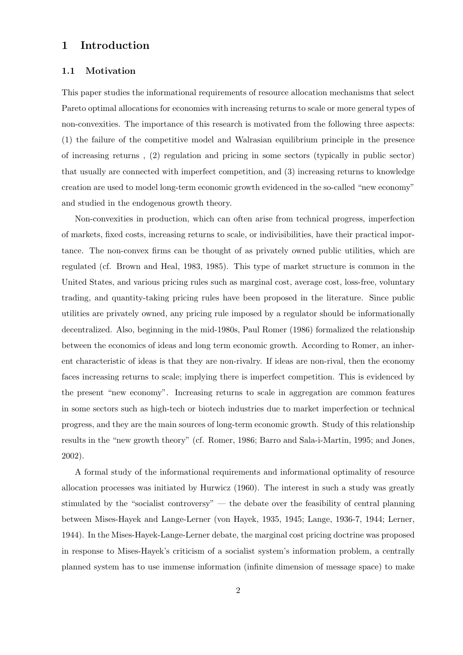# 1 Introduction

#### 1.1 Motivation

This paper studies the informational requirements of resource allocation mechanisms that select Pareto optimal allocations for economies with increasing returns to scale or more general types of non-convexities. The importance of this research is motivated from the following three aspects: (1) the failure of the competitive model and Walrasian equilibrium principle in the presence of increasing returns , (2) regulation and pricing in some sectors (typically in public sector) that usually are connected with imperfect competition, and (3) increasing returns to knowledge creation are used to model long-term economic growth evidenced in the so-called "new economy" and studied in the endogenous growth theory.

Non-convexities in production, which can often arise from technical progress, imperfection of markets, fixed costs, increasing returns to scale, or indivisibilities, have their practical importance. The non-convex firms can be thought of as privately owned public utilities, which are regulated (cf. Brown and Heal, 1983, 1985). This type of market structure is common in the United States, and various pricing rules such as marginal cost, average cost, loss-free, voluntary trading, and quantity-taking pricing rules have been proposed in the literature. Since public utilities are privately owned, any pricing rule imposed by a regulator should be informationally decentralized. Also, beginning in the mid-1980s, Paul Romer (1986) formalized the relationship between the economics of ideas and long term economic growth. According to Romer, an inherent characteristic of ideas is that they are non-rivalry. If ideas are non-rival, then the economy faces increasing returns to scale; implying there is imperfect competition. This is evidenced by the present "new economy". Increasing returns to scale in aggregation are common features in some sectors such as high-tech or biotech industries due to market imperfection or technical progress, and they are the main sources of long-term economic growth. Study of this relationship results in the "new growth theory" (cf. Romer, 1986; Barro and Sala-i-Martin, 1995; and Jones, 2002).

A formal study of the informational requirements and informational optimality of resource allocation processes was initiated by Hurwicz (1960). The interest in such a study was greatly stimulated by the "socialist controversy" — the debate over the feasibility of central planning between Mises-Hayek and Lange-Lerner (von Hayek, 1935, 1945; Lange, 1936-7, 1944; Lerner, 1944). In the Mises-Hayek-Lange-Lerner debate, the marginal cost pricing doctrine was proposed in response to Mises-Hayek's criticism of a socialist system's information problem, a centrally planned system has to use immense information (infinite dimension of message space) to make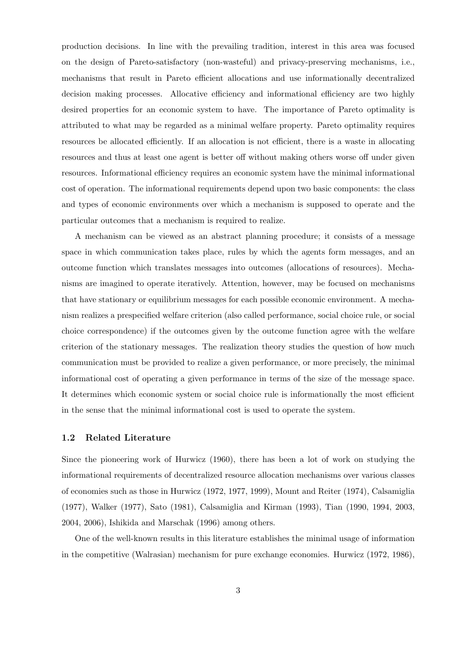production decisions. In line with the prevailing tradition, interest in this area was focused on the design of Pareto-satisfactory (non-wasteful) and privacy-preserving mechanisms, i.e., mechanisms that result in Pareto efficient allocations and use informationally decentralized decision making processes. Allocative efficiency and informational efficiency are two highly desired properties for an economic system to have. The importance of Pareto optimality is attributed to what may be regarded as a minimal welfare property. Pareto optimality requires resources be allocated efficiently. If an allocation is not efficient, there is a waste in allocating resources and thus at least one agent is better off without making others worse off under given resources. Informational efficiency requires an economic system have the minimal informational cost of operation. The informational requirements depend upon two basic components: the class and types of economic environments over which a mechanism is supposed to operate and the particular outcomes that a mechanism is required to realize.

A mechanism can be viewed as an abstract planning procedure; it consists of a message space in which communication takes place, rules by which the agents form messages, and an outcome function which translates messages into outcomes (allocations of resources). Mechanisms are imagined to operate iteratively. Attention, however, may be focused on mechanisms that have stationary or equilibrium messages for each possible economic environment. A mechanism realizes a prespecified welfare criterion (also called performance, social choice rule, or social choice correspondence) if the outcomes given by the outcome function agree with the welfare criterion of the stationary messages. The realization theory studies the question of how much communication must be provided to realize a given performance, or more precisely, the minimal informational cost of operating a given performance in terms of the size of the message space. It determines which economic system or social choice rule is informationally the most efficient in the sense that the minimal informational cost is used to operate the system.

#### 1.2 Related Literature

Since the pioneering work of Hurwicz (1960), there has been a lot of work on studying the informational requirements of decentralized resource allocation mechanisms over various classes of economies such as those in Hurwicz (1972, 1977, 1999), Mount and Reiter (1974), Calsamiglia (1977), Walker (1977), Sato (1981), Calsamiglia and Kirman (1993), Tian (1990, 1994, 2003, 2004, 2006), Ishikida and Marschak (1996) among others.

One of the well-known results in this literature establishes the minimal usage of information in the competitive (Walrasian) mechanism for pure exchange economies. Hurwicz (1972, 1986),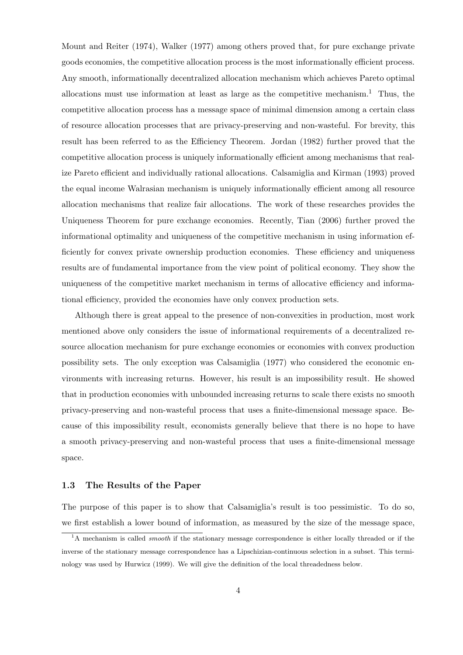Mount and Reiter (1974), Walker (1977) among others proved that, for pure exchange private goods economies, the competitive allocation process is the most informationally efficient process. Any smooth, informationally decentralized allocation mechanism which achieves Pareto optimal allocations must use information at least as large as the competitive mechanism.<sup>1</sup> Thus, the competitive allocation process has a message space of minimal dimension among a certain class of resource allocation processes that are privacy-preserving and non-wasteful. For brevity, this result has been referred to as the Efficiency Theorem. Jordan (1982) further proved that the competitive allocation process is uniquely informationally efficient among mechanisms that realize Pareto efficient and individually rational allocations. Calsamiglia and Kirman (1993) proved the equal income Walrasian mechanism is uniquely informationally efficient among all resource allocation mechanisms that realize fair allocations. The work of these researches provides the Uniqueness Theorem for pure exchange economies. Recently, Tian (2006) further proved the informational optimality and uniqueness of the competitive mechanism in using information efficiently for convex private ownership production economies. These efficiency and uniqueness results are of fundamental importance from the view point of political economy. They show the uniqueness of the competitive market mechanism in terms of allocative efficiency and informational efficiency, provided the economies have only convex production sets.

Although there is great appeal to the presence of non-convexities in production, most work mentioned above only considers the issue of informational requirements of a decentralized resource allocation mechanism for pure exchange economies or economies with convex production possibility sets. The only exception was Calsamiglia (1977) who considered the economic environments with increasing returns. However, his result is an impossibility result. He showed that in production economies with unbounded increasing returns to scale there exists no smooth privacy-preserving and non-wasteful process that uses a finite-dimensional message space. Because of this impossibility result, economists generally believe that there is no hope to have a smooth privacy-preserving and non-wasteful process that uses a finite-dimensional message space.

#### 1.3 The Results of the Paper

The purpose of this paper is to show that Calsamiglia's result is too pessimistic. To do so, we first establish a lower bound of information, as measured by the size of the message space,

 $1<sup>1</sup>A$  mechanism is called *smooth* if the stationary message correspondence is either locally threaded or if the inverse of the stationary message correspondence has a Lipschizian-continuous selection in a subset. This terminology was used by Hurwicz (1999). We will give the definition of the local threadedness below.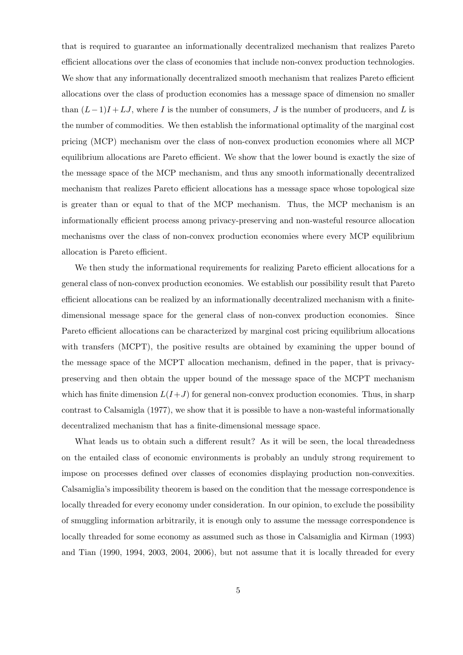that is required to guarantee an informationally decentralized mechanism that realizes Pareto efficient allocations over the class of economies that include non-convex production technologies. We show that any informationally decentralized smooth mechanism that realizes Pareto efficient allocations over the class of production economies has a message space of dimension no smaller than  $(L-1)I + LJ$ , where I is the number of consumers, J is the number of producers, and L is the number of commodities. We then establish the informational optimality of the marginal cost pricing (MCP) mechanism over the class of non-convex production economies where all MCP equilibrium allocations are Pareto efficient. We show that the lower bound is exactly the size of the message space of the MCP mechanism, and thus any smooth informationally decentralized mechanism that realizes Pareto efficient allocations has a message space whose topological size is greater than or equal to that of the MCP mechanism. Thus, the MCP mechanism is an informationally efficient process among privacy-preserving and non-wasteful resource allocation mechanisms over the class of non-convex production economies where every MCP equilibrium allocation is Pareto efficient.

We then study the informational requirements for realizing Pareto efficient allocations for a general class of non-convex production economies. We establish our possibility result that Pareto efficient allocations can be realized by an informationally decentralized mechanism with a finitedimensional message space for the general class of non-convex production economies. Since Pareto efficient allocations can be characterized by marginal cost pricing equilibrium allocations with transfers (MCPT), the positive results are obtained by examining the upper bound of the message space of the MCPT allocation mechanism, defined in the paper, that is privacypreserving and then obtain the upper bound of the message space of the MCPT mechanism which has finite dimension  $L(I+J)$  for general non-convex production economies. Thus, in sharp contrast to Calsamigla (1977), we show that it is possible to have a non-wasteful informationally decentralized mechanism that has a finite-dimensional message space.

What leads us to obtain such a different result? As it will be seen, the local threadedness on the entailed class of economic environments is probably an unduly strong requirement to impose on processes defined over classes of economies displaying production non-convexities. Calsamiglia's impossibility theorem is based on the condition that the message correspondence is locally threaded for every economy under consideration. In our opinion, to exclude the possibility of smuggling information arbitrarily, it is enough only to assume the message correspondence is locally threaded for some economy as assumed such as those in Calsamiglia and Kirman (1993) and Tian (1990, 1994, 2003, 2004, 2006), but not assume that it is locally threaded for every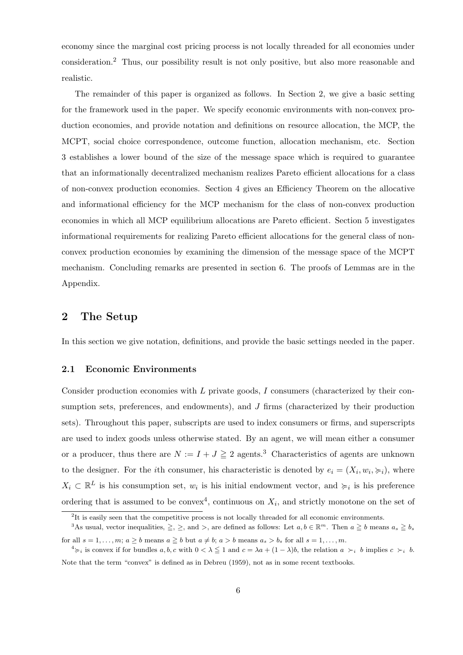economy since the marginal cost pricing process is not locally threaded for all economies under consideration.<sup>2</sup> Thus, our possibility result is not only positive, but also more reasonable and realistic.

The remainder of this paper is organized as follows. In Section 2, we give a basic setting for the framework used in the paper. We specify economic environments with non-convex production economies, and provide notation and definitions on resource allocation, the MCP, the MCPT, social choice correspondence, outcome function, allocation mechanism, etc. Section 3 establishes a lower bound of the size of the message space which is required to guarantee that an informationally decentralized mechanism realizes Pareto efficient allocations for a class of non-convex production economies. Section 4 gives an Efficiency Theorem on the allocative and informational efficiency for the MCP mechanism for the class of non-convex production economies in which all MCP equilibrium allocations are Pareto efficient. Section 5 investigates informational requirements for realizing Pareto efficient allocations for the general class of nonconvex production economies by examining the dimension of the message space of the MCPT mechanism. Concluding remarks are presented in section 6. The proofs of Lemmas are in the Appendix.

### 2 The Setup

In this section we give notation, definitions, and provide the basic settings needed in the paper.

#### 2.1 Economic Environments

Consider production economies with  $L$  private goods,  $I$  consumers (characterized by their consumption sets, preferences, and endowments), and  $J$  firms (characterized by their production sets). Throughout this paper, subscripts are used to index consumers or firms, and superscripts are used to index goods unless otherwise stated. By an agent, we will mean either a consumer or a producer, thus there are  $N := I + J \geq 2$  agents.<sup>3</sup> Characteristics of agents are unknown to the designer. For the *i*th consumer, his characteristic is denoted by  $e_i = (X_i, w_i, \succcurlyeq_i)$ , where  $X_i \subset \mathbb{R}^L$  is his consumption set,  $w_i$  is his initial endowment vector, and  $\succcurlyeq_i$  is his preference ordering that is assumed to be convex<sup>4</sup>, continuous on  $X_i$ , and strictly monotone on the set of

 ${}^{2}$ It is easily seen that the competitive process is not locally threaded for all economic environments.

<sup>&</sup>lt;sup>3</sup>As usual, vector inequalities,  $\geq$ ,  $\geq$ , and  $>$ , are defined as follows: Let  $a, b \in \mathbb{R}^m$ . Then  $a \geq b$  means  $a_s \geq b_s$ for all  $s = 1, \ldots, m; a \ge b$  means  $a \ge b$  but  $a \ne b; a > b$  means  $a_s > b_s$  for all  $s = 1, \ldots, m$ .

 $a \geq i$  is convex if for bundles a, b, c with  $0 < \lambda \leq 1$  and  $c = \lambda a + (1 - \lambda)b$ , the relation  $a \succ_i b$  implies  $c \succ_i b$ . Note that the term "convex" is defined as in Debreu (1959), not as in some recent textbooks.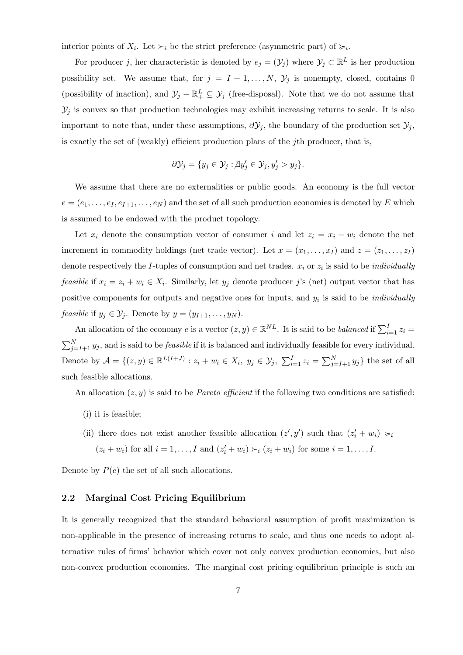interior points of  $X_i$ . Let  $\succ_i$  be the strict preference (asymmetric part) of  $\succcurlyeq_i$ .

For producer j, her characteristic is denoted by  $e_j = (\mathcal{Y}_j)$  where  $\mathcal{Y}_j \subset \mathbb{R}^L$  is her production possibility set. We assume that, for  $j = I + 1, ..., N$ ,  $\mathcal{Y}_j$  is nonempty, closed, contains 0 (possibility of inaction), and  $\mathcal{Y}_j - \mathbb{R}^L_+ \subseteq \mathcal{Y}_j$  (free-disposal). Note that we do not assume that  $\mathcal{Y}_j$  is convex so that production technologies may exhibit increasing returns to scale. It is also important to note that, under these assumptions,  $\partial \mathcal{Y}_j$ , the boundary of the production set  $\mathcal{Y}_j$ , is exactly the set of (weakly) efficient production plans of the *j*th producer, that is,

$$
\partial \mathcal{Y}_j = \{ y_j \in \mathcal{Y}_j : \nexists y'_j \in \mathcal{Y}_j, y'_j > y_j \}.
$$

We assume that there are no externalities or public goods. An economy is the full vector  $e = (e_1, \ldots, e_I, e_{I+1}, \ldots, e_N)$  and the set of all such production economies is denoted by E which is assumed to be endowed with the product topology.

Let  $x_i$  denote the consumption vector of consumer i and let  $z_i = x_i - w_i$  denote the net increment in commodity holdings (net trade vector). Let  $x = (x_1, \ldots, x_I)$  and  $z = (z_1, \ldots, z_I)$ denote respectively the *I*-tuples of consumption and net trades.  $x_i$  or  $z_i$  is said to be *individually feasible* if  $x_i = z_i + w_i \in X_i$ . Similarly, let  $y_j$  denote producer j's (net) output vector that has positive components for outputs and negative ones for inputs, and  $y_i$  is said to be *individually feasible* if  $y_j \in \mathcal{Y}_j$ . Denote by  $y = (y_{I+1}, \ldots, y_N)$ .

An allocation of the economy e is a vector  $(z, y) \in \mathbb{R}^{NL}$ . It is said to be balanced if  $\sum_{i=1}^{I} z_i =$  $\sum_{j=I+1}^{N} y_j$ , and is said to be *feasible* if it is balanced and individually feasible for every individual. Denote by  $A = \{(z, y) \in \mathbb{R}^{L(I+J)} : z_i + w_i \in X_i, y_j \in Y_j, \ \sum_{i=1}^{I} z_i = \sum_{j=I+1}^{N} y_j\}$  the set of all such feasible allocations.

An allocation  $(z, y)$  is said to be *Pareto efficient* if the following two conditions are satisfied:

- (i) it is feasible;
- (ii) there does not exist another feasible allocation  $(z', y')$  such that  $(z'_i + w_i) \succcurlyeq_i$  $(z_i + w_i)$  for all  $i = 1, \ldots, I$  and  $(z'_i + w_i) \succ_i (z_i + w_i)$  for some  $i = 1, \ldots, I$ .

Denote by  $P(e)$  the set of all such allocations.

#### 2.2 Marginal Cost Pricing Equilibrium

It is generally recognized that the standard behavioral assumption of profit maximization is non-applicable in the presence of increasing returns to scale, and thus one needs to adopt alternative rules of firms' behavior which cover not only convex production economies, but also non-convex production economies. The marginal cost pricing equilibrium principle is such an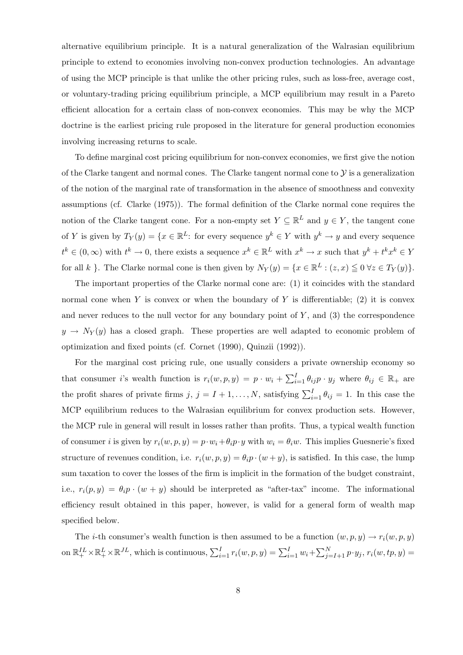alternative equilibrium principle. It is a natural generalization of the Walrasian equilibrium principle to extend to economies involving non-convex production technologies. An advantage of using the MCP principle is that unlike the other pricing rules, such as loss-free, average cost, or voluntary-trading pricing equilibrium principle, a MCP equilibrium may result in a Pareto efficient allocation for a certain class of non-convex economies. This may be why the MCP doctrine is the earliest pricing rule proposed in the literature for general production economies involving increasing returns to scale.

To define marginal cost pricing equilibrium for non-convex economies, we first give the notion of the Clarke tangent and normal cones. The Clarke tangent normal cone to  $\mathcal Y$  is a generalization of the notion of the marginal rate of transformation in the absence of smoothness and convexity assumptions (cf. Clarke (1975)). The formal definition of the Clarke normal cone requires the notion of the Clarke tangent cone. For a non-empty set  $Y \subseteq \mathbb{R}^L$  and  $y \in Y$ , the tangent cone of Y is given by  $T_Y(y) = \{x \in \mathbb{R}^L : \text{ for every sequence } y^k \in Y \text{ with } y^k \to y \text{ and every sequence }$  $t^k \in (0,\infty)$  with  $t^k \to 0$ , there exists a sequence  $x^k \in \mathbb{R}^L$  with  $x^k \to x$  such that  $y^k + t^k x^k \in Y$ for all k }. The Clarke normal cone is then given by  $N_Y(y) = \{x \in \mathbb{R}^L : (z, x) \leq 0 \ \forall z \in T_Y(y)\}.$ 

The important properties of the Clarke normal cone are: (1) it coincides with the standard normal cone when Y is convex or when the boundary of Y is differentiable; (2) it is convex and never reduces to the null vector for any boundary point of  $Y$ , and  $(3)$  the correspondence  $y \rightarrow N_Y(y)$  has a closed graph. These properties are well adapted to economic problem of optimization and fixed points (cf. Cornet (1990), Quinzii (1992)).

For the marginal cost pricing rule, one usually considers a private ownership economy so that consumer *i*'s wealth function is  $r_i(w, p, y) = p \cdot w_i + \sum_{i=1}^I \theta_{ij} p \cdot y_j$  where  $\theta_{ij} \in \mathbb{R}_+$  are the profit shares of private firms  $j, j = I + 1, \ldots, N$ , satisfying  $\sum_{i=1}^{I} \theta_{ij} = 1$ . In this case the MCP equilibrium reduces to the Walrasian equilibrium for convex production sets. However, the MCP rule in general will result in losses rather than profits. Thus, a typical wealth function of consumer i is given by  $r_i(w, p, y) = p \cdot w_i + \theta_i p \cdot y$  with  $w_i = \theta_i w$ . This implies Guesnerie's fixed structure of revenues condition, i.e.  $r_i(w, p, y) = \theta_i p \cdot (w + y)$ , is satisfied. In this case, the lump sum taxation to cover the losses of the firm is implicit in the formation of the budget constraint, i.e.,  $r_i(p, y) = \theta_i p \cdot (w + y)$  should be interpreted as "after-tax" income. The informational efficiency result obtained in this paper, however, is valid for a general form of wealth map specified below.

The *i*-th consumer's wealth function is then assumed to be a function  $(w, p, y) \rightarrow r_i(w, p, y)$ on  $\mathbb{R}_+^{IL} \times \mathbb{R}_+^{L} \times \mathbb{R}^{JL}$ , which is continuous,  $\sum_{i=1}^I r_i(w, p, y) = \sum_{i=1}^I w_i + \sum_{j=I+1}^N p \cdot y_j$ ,  $r_i(w, tp, y) =$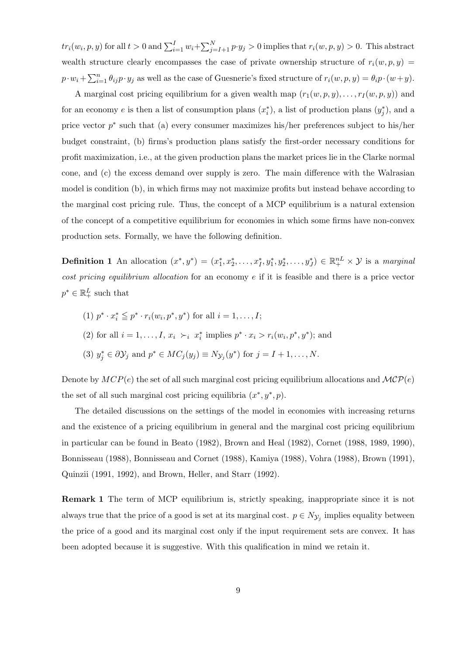$tr_i(w_i, p, y)$  for all  $t > 0$  and  $\sum_{i=1}^{I} w_i + \sum_{j=I+1}^{N} p \cdot y_j > 0$  implies that  $r_i(w, p, y) > 0$ . This abstract wealth structure clearly encompasses the case of private ownership structure of  $r_i(w,p,y)$  $p \cdot w_i + \sum_{i=1}^n \theta_{ij} p \cdot y_j$  as well as the case of Guesnerie's fixed structure of  $r_i(w, p, y) = \theta_i p \cdot (w + y)$ .

A marginal cost pricing equilibrium for a given wealth map  $(r_1(w, p, y), \ldots, r_I(w, p, y))$  and for an economy e is then a list of consumption plans  $(x_i^*)$ , a list of production plans  $(y_j^*)$ , and a price vector  $p^*$  such that (a) every consumer maximizes his/her preferences subject to his/her budget constraint, (b) firms's production plans satisfy the first-order necessary conditions for profit maximization, i.e., at the given production plans the market prices lie in the Clarke normal cone, and (c) the excess demand over supply is zero. The main difference with the Walrasian model is condition (b), in which firms may not maximize profits but instead behave according to the marginal cost pricing rule. Thus, the concept of a MCP equilibrium is a natural extension of the concept of a competitive equilibrium for economies in which some firms have non-convex production sets. Formally, we have the following definition.

**Definition 1** An allocation  $(x^*, y^*) = (x_1^*, x_2^*, \ldots, x_I^*, y_1^*, y_2^*, \ldots, y_J^*) \in \mathbb{R}_+^{nL} \times \mathcal{Y}$  is a marginal cost pricing equilibrium allocation for an economy  $e$  if it is feasible and there is a price vector  $p^* \in \mathbb{R}^L_+$  such that

- (1)  $p^* \cdot x_i^* \leq p^* \cdot r_i(w_i, p^*, y^*)$  for all  $i = 1, ..., I;$
- (2) for all  $i = 1, ..., I$ ,  $x_i \succ_i x_i^*$  implies  $p^* \cdot x_i > r_i(w_i, p^*, y^*)$ ; and
- (3)  $y_j^* \in \partial \mathcal{Y}_j$  and  $p^* \in MC_j(y_j) \equiv N_{\mathcal{Y}_j}(y^*)$  for  $j = I + 1, \ldots, N$ .

Denote by  $MCP(e)$  the set of all such marginal cost pricing equilibrium allocations and  $MCP(e)$ the set of all such marginal cost pricing equilibria  $(x^*, y^*, p)$ .

The detailed discussions on the settings of the model in economies with increasing returns and the existence of a pricing equilibrium in general and the marginal cost pricing equilibrium in particular can be found in Beato (1982), Brown and Heal (1982), Cornet (1988, 1989, 1990), Bonnisseau (1988), Bonnisseau and Cornet (1988), Kamiya (1988), Vohra (1988), Brown (1991), Quinzii (1991, 1992), and Brown, Heller, and Starr (1992).

**Remark 1** The term of MCP equilibrium is, strictly speaking, inappropriate since it is not always true that the price of a good is set at its marginal cost.  $p \in N_{\mathcal{Y}_j}$  implies equality between the price of a good and its marginal cost only if the input requirement sets are convex. It has been adopted because it is suggestive. With this qualification in mind we retain it.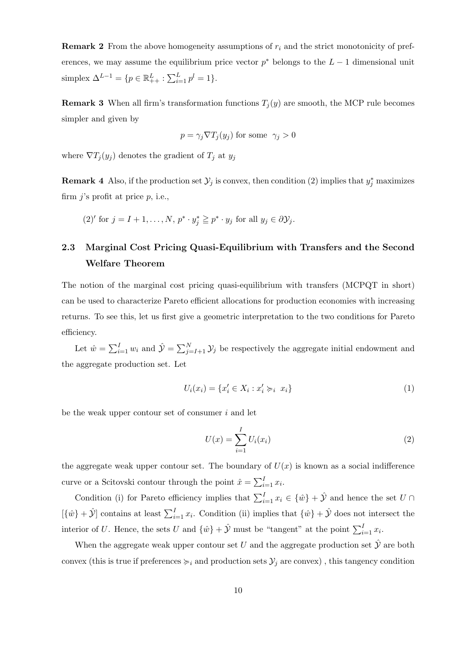**Remark 2** From the above homogeneity assumptions of  $r_i$  and the strict monotonicity of preferences, we may assume the equilibrium price vector  $p^*$  belongs to the  $L-1$  dimensional unit simplex  $\Delta^{L-1} = \{ p \in \mathbb{R}^L_{++} : \sum_{i=1}^L p^l = 1 \}.$ 

**Remark 3** When all firm's transformation functions  $T_j(y)$  are smooth, the MCP rule becomes simpler and given by

$$
p = \gamma_j \nabla T_j(y_j)
$$
 for some  $\gamma_j > 0$ 

where  $\nabla T_j(y_j)$  denotes the gradient of  $T_j$  at  $y_j$ 

**Remark 4** Also, if the production set  $\mathcal{Y}_j$  is convex, then condition (2) implies that  $y_j^*$  maximizes firm  $j$ 's profit at price  $p$ , i.e.,

(2)' for 
$$
j = I + 1, ..., N
$$
,  $p^* \cdot y_j^* \geq p^* \cdot y_j$  for all  $y_j \in \partial \mathcal{Y}_j$ .

# 2.3 Marginal Cost Pricing Quasi-Equilibrium with Transfers and the Second Welfare Theorem

The notion of the marginal cost pricing quasi-equilibrium with transfers (MCPQT in short) can be used to characterize Pareto efficient allocations for production economies with increasing returns. To see this, let us first give a geometric interpretation to the two conditions for Pareto efficiency.

Let  $\hat{w} = \sum_{i=1}^{I} w_i$  and  $\hat{y} = \sum_{j=I+1}^{N} y_j$  be respectively the aggregate initial endowment and the aggregate production set. Let

$$
U_i(x_i) = \{x'_i \in X_i : x'_i \succcurlyeq_i x_i\} \tag{1}
$$

be the weak upper contour set of consumer  $i$  and let

$$
U(x) = \sum_{i=1}^{I} U_i(x_i)
$$
 (2)

the aggregate weak upper contour set. The boundary of  $U(x)$  is known as a social indifference curve or a Scitovski contour through the point  $\hat{x} = \sum_{i=1}^{I} x_i$ .

Condition (i) for Pareto efficiency implies that  $\sum_{i=1}^{I} x_i \in \{\hat{w}\} + \hat{y}$  and hence the set  $U \cap$  $[\{\hat{w}\} + \hat{\mathcal{Y}}]$  contains at least  $\sum_{i=1}^{I} x_i$ . Condition (ii) implies that  $\{\hat{w}\} + \hat{\mathcal{Y}}$  does not intersect the interior of U. Hence, the sets U and  $\{\hat{w}\} + \hat{\mathcal{Y}}$  must be "tangent" at the point  $\sum_{i=1}^{I} x_i$ .

When the aggregate weak upper contour set U and the aggregate production set  $\hat{y}$  are both convex (this is true if preferences  $\succcurlyeq_i$  and production sets  $\mathcal{Y}_j$  are convex), this tangency condition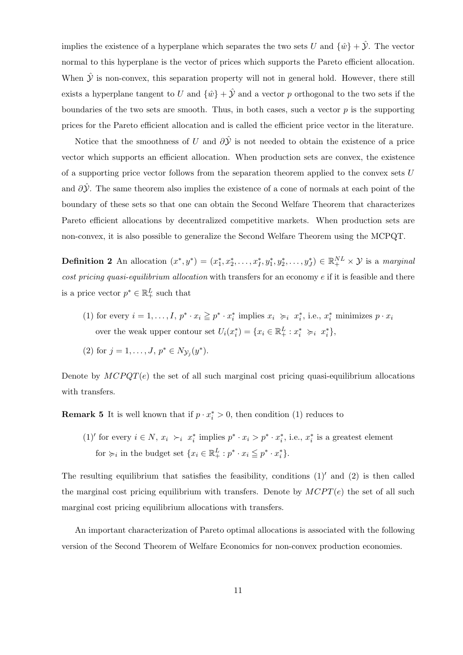implies the existence of a hyperplane which separates the two sets U and  $\{\hat{w}\} + \hat{\mathcal{Y}}$ . The vector normal to this hyperplane is the vector of prices which supports the Pareto efficient allocation. When  $\hat{y}$  is non-convex, this separation property will not in general hold. However, there still exists a hyperplane tangent to U and  $\{\hat{w}\} + \hat{y}$  and a vector p orthogonal to the two sets if the boundaries of the two sets are smooth. Thus, in both cases, such a vector  $p$  is the supporting prices for the Pareto efficient allocation and is called the efficient price vector in the literature.

Notice that the smoothness of U and  $\partial \hat{Y}$  is not needed to obtain the existence of a price vector which supports an efficient allocation. When production sets are convex, the existence of a supporting price vector follows from the separation theorem applied to the convex sets  $U$ and  $\partial Y$ . The same theorem also implies the existence of a cone of normals at each point of the boundary of these sets so that one can obtain the Second Welfare Theorem that characterizes Pareto efficient allocations by decentralized competitive markets. When production sets are non-convex, it is also possible to generalize the Second Welfare Theorem using the MCPQT.

**Definition 2** An allocation  $(x^*, y^*) = (x_1^*, x_2^*, \ldots, x_I^*, y_1^*, y_2^*, \ldots, y_J^*) \in \mathbb{R}_+^{NL} \times \mathcal{Y}$  is a marginal cost pricing quasi-equilibrium allocation with transfers for an economy e if it is feasible and there is a price vector  $p^* \in \mathbb{R}^L_+$  such that

- (1) for every  $i = 1, ..., I, p^* \cdot x_i \geq p^* \cdot x_i^*$  implies  $x_i \geq i, x_i^*$ , i.e.,  $x_i^*$  minimizes  $p \cdot x_i$ over the weak upper contour set  $U_i(x_i^*) = \{x_i \in \mathbb{R}_+^L : x_i^* \succ_i x_i^*\},\$
- (2) for  $j = 1, ..., J, p^* \in N_{\mathcal{Y}_j}(y^*)$ .

Denote by  $MCPQT(e)$  the set of all such marginal cost pricing quasi-equilibrium allocations with transfers.

**Remark 5** It is well known that if  $p \cdot x_i^* > 0$ , then condition (1) reduces to

(1)' for every  $i \in N$ ,  $x_i > i$   $x_i^*$  implies  $p^* \cdot x_i > p^* \cdot x_i^*$ , i.e.,  $x_i^*$  is a greatest element for  $\succcurlyeq_i$  in the budget set  $\{x_i \in \mathbb{R}^L_+ : p^* \cdot x_i \leqq p^* \cdot x_i^*\}.$ 

The resulting equilibrium that satisfies the feasibility, conditions  $(1)'$  and  $(2)$  is then called the marginal cost pricing equilibrium with transfers. Denote by  $M CPT(e)$  the set of all such marginal cost pricing equilibrium allocations with transfers.

An important characterization of Pareto optimal allocations is associated with the following version of the Second Theorem of Welfare Economics for non-convex production economies.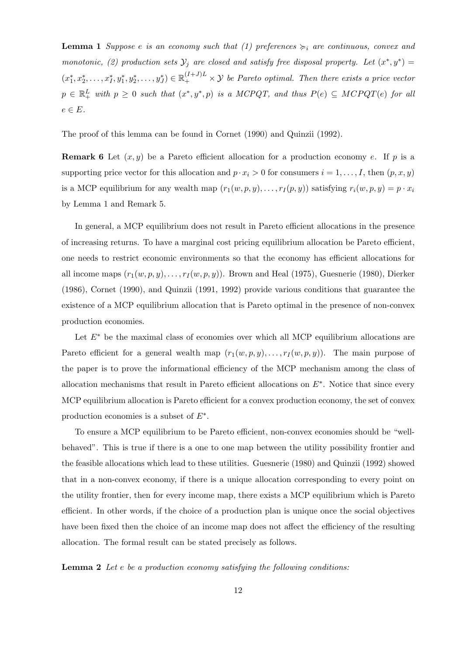**Lemma 1** Suppose e is an economy such that (1) preferences  $\succcurlyeq_i$  are continuous, convex and monotonic, (2) production sets  $\mathcal{Y}_j$  are closed and satisfy free disposal property. Let  $(x^*, y^*) =$  $(x_1^*, x_2^*, \ldots, x_I^*, y_1^*, y_2^*, \ldots, y_J^*) \in \mathbb{R}_+^{(I+J)L} \times \mathcal{Y}$  be Pareto optimal. Then there exists a price vector  $p \in \mathbb{R}^L_+$  with  $p \geq 0$  such that  $(x^*, y^*, p)$  is a MCPQT, and thus  $P(e) \subseteq MCPQT(e)$  for all  $e \in E$ .

The proof of this lemma can be found in Cornet (1990) and Quinzii (1992).

**Remark 6** Let  $(x, y)$  be a Pareto efficient allocation for a production economy e. If p is a supporting price vector for this allocation and  $p \cdot x_i > 0$  for consumers  $i = 1, \ldots, I$ , then  $(p, x, y)$ is a MCP equilibrium for any wealth map  $(r_1(w, p, y), \ldots, r_I(p, y))$  satisfying  $r_i(w, p, y) = p \cdot x_i$ by Lemma 1 and Remark 5.

In general, a MCP equilibrium does not result in Pareto efficient allocations in the presence of increasing returns. To have a marginal cost pricing equilibrium allocation be Pareto efficient, one needs to restrict economic environments so that the economy has efficient allocations for all income maps  $(r_1(w,p,y),\ldots,r_I(w,p,y))$ . Brown and Heal (1975), Guesnerie (1980), Dierker (1986), Cornet (1990), and Quinzii (1991, 1992) provide various conditions that guarantee the existence of a MCP equilibrium allocation that is Pareto optimal in the presence of non-convex production economies.

Let  $E^*$  be the maximal class of economies over which all MCP equilibrium allocations are Pareto efficient for a general wealth map  $(r_1(w, p, y), \ldots, r_l(w, p, y))$ . The main purpose of the paper is to prove the informational efficiency of the MCP mechanism among the class of allocation mechanisms that result in Pareto efficient allocations on  $E^*$ . Notice that since every MCP equilibrium allocation is Pareto efficient for a convex production economy, the set of convex production economies is a subset of  $E^*$ .

To ensure a MCP equilibrium to be Pareto efficient, non-convex economies should be "wellbehaved". This is true if there is a one to one map between the utility possibility frontier and the feasible allocations which lead to these utilities. Guesnerie (1980) and Quinzii (1992) showed that in a non-convex economy, if there is a unique allocation corresponding to every point on the utility frontier, then for every income map, there exists a MCP equilibrium which is Pareto efficient. In other words, if the choice of a production plan is unique once the social objectives have been fixed then the choice of an income map does not affect the efficiency of the resulting allocation. The formal result can be stated precisely as follows.

**Lemma 2** Let e be a production economy satisfying the following conditions: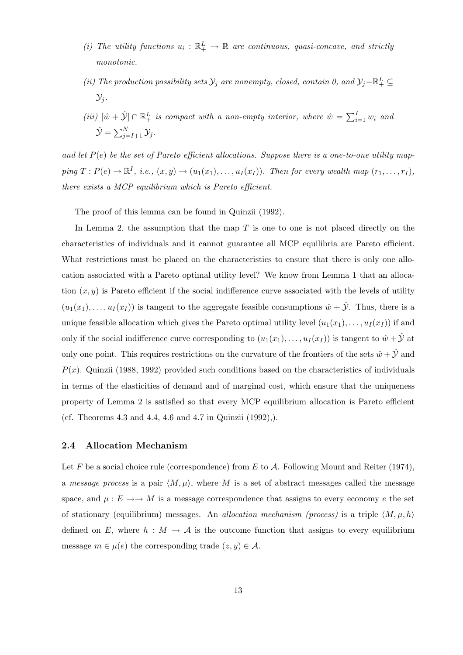- (i) The utility functions  $u_i : \mathbb{R}^L_+ \to \mathbb{R}$  are continuous, quasi-concave, and strictly monotonic.
- (ii) The production possibility sets  $\mathcal{Y}_j$  are nonempty, closed, contain 0, and  $\mathcal{Y}_j \mathbb{R}^L_+ \subseteq$  $\mathcal{Y}_i$ .
- (iii)  $[\hat{w} + \hat{y}] \cap \mathbb{R}^L_+$  is compact with a non-empty interior, where  $\hat{w} = \sum_{i=1}^I w_i$  and  $\hat{\mathcal{Y}} = \sum_{j=I+1}^N \mathcal{Y}_j.$

and let  $P(e)$  be the set of Pareto efficient allocations. Suppose there is a one-to-one utility map $ping T : P(e) \rightarrow \mathbb{R}^I$ , i.e.,  $(x, y) \rightarrow (u_1(x_1), \ldots, u_I(x_I))$ . Then for every wealth map  $(r_1, \ldots, r_I)$ , there exists a MCP equilibrium which is Pareto efficient.

The proof of this lemma can be found in Quinzii (1992).

In Lemma 2, the assumption that the map  $T$  is one to one is not placed directly on the characteristics of individuals and it cannot guarantee all MCP equilibria are Pareto efficient. What restrictions must be placed on the characteristics to ensure that there is only one allocation associated with a Pareto optimal utility level? We know from Lemma 1 that an allocation  $(x, y)$  is Pareto efficient if the social indifference curve associated with the levels of utility  $(u_1(x_1),..., u_I(x_I))$  is tangent to the aggregate feasible consumptions  $\hat{w} + \hat{y}$ . Thus, there is a unique feasible allocation which gives the Pareto optimal utility level  $(u_1(x_1),...,u_I(x_I))$  if and only if the social indifference curve corresponding to  $(u_1(x_1),...,u_I(x_I))$  is tangent to  $\hat{w}+\hat{y}$  at only one point. This requires restrictions on the curvature of the frontiers of the sets  $\hat{w} + \hat{y}$  and  $P(x)$ . Quinzii (1988, 1992) provided such conditions based on the characteristics of individuals in terms of the elasticities of demand and of marginal cost, which ensure that the uniqueness property of Lemma 2 is satisfied so that every MCP equilibrium allocation is Pareto efficient (cf. Theorems 4.3 and 4.4, 4.6 and 4.7 in Quinzii (1992),).

#### 2.4 Allocation Mechanism

Let F be a social choice rule (correspondence) from E to A. Following Mount and Reiter (1974), a message process is a pair  $\langle M,\mu\rangle$ , where M is a set of abstract messages called the message space, and  $\mu: E \longrightarrow M$  is a message correspondence that assigns to every economy e the set of stationary (equilibrium) messages. An *allocation mechanism (process)* is a triple  $\langle M, \mu, h \rangle$ defined on E, where  $h : M \to \mathcal{A}$  is the outcome function that assigns to every equilibrium message  $m \in \mu(e)$  the corresponding trade  $(z, y) \in \mathcal{A}$ .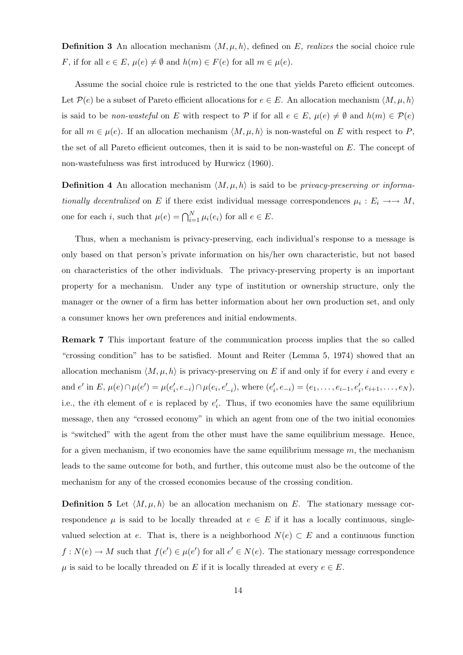**Definition 3** An allocation mechanism  $\langle M, \mu, h \rangle$ , defined on E, realizes the social choice rule F, if for all  $e \in E$ ,  $\mu(e) \neq \emptyset$  and  $h(m) \in F(e)$  for all  $m \in \mu(e)$ .

Assume the social choice rule is restricted to the one that yields Pareto efficient outcomes. Let  $\mathcal{P}(e)$  be a subset of Pareto efficient allocations for  $e \in E$ . An allocation mechanism  $\langle M, \mu, h \rangle$ is said to be non-wasteful on E with respect to P if for all  $e \in E$ ,  $\mu(e) \neq \emptyset$  and  $h(m) \in \mathcal{P}(e)$ for all  $m \in \mu(e)$ . If an allocation mechanism  $\langle M, \mu, h \rangle$  is non-wasteful on E with respect to P, the set of all Pareto efficient outcomes, then it is said to be non-wasteful on  $E$ . The concept of non-wastefulness was first introduced by Hurwicz (1960).

**Definition 4** An allocation mechanism  $\langle M, \mu, h \rangle$  is said to be *privacy-preserving or informa*tionally decentralized on E if there exist individual message correspondences  $\mu_i : E_i \longrightarrow M$ , one for each *i*, such that  $\mu(e) = \bigcap_{i=1}^{N} \mu_i(e_i)$  for all  $e \in E$ .

Thus, when a mechanism is privacy-preserving, each individual's response to a message is only based on that person's private information on his/her own characteristic, but not based on characteristics of the other individuals. The privacy-preserving property is an important property for a mechanism. Under any type of institution or ownership structure, only the manager or the owner of a firm has better information about her own production set, and only a consumer knows her own preferences and initial endowments.

Remark 7 This important feature of the communication process implies that the so called "crossing condition" has to be satisfied. Mount and Reiter (Lemma 5, 1974) showed that an allocation mechanism  $\langle M, \mu, h \rangle$  is privacy-preserving on E if and only if for every i and every e and  $e'$  in  $E, \mu(e) \cap \mu(e') = \mu(e'_i, e_{-i}) \cap \mu(e_i, e'_{-i}),$  where  $(e'_i, e_{-i}) = (e_1, \ldots, e_{i-1}, e'_i, e_{i+1}, \ldots, e_N),$ i.e., the *i*th element of e is replaced by  $e'_i$ . Thus, if two economies have the same equilibrium message, then any "crossed economy" in which an agent from one of the two initial economies is "switched" with the agent from the other must have the same equilibrium message. Hence, for a given mechanism, if two economies have the same equilibrium message  $m$ , the mechanism leads to the same outcome for both, and further, this outcome must also be the outcome of the mechanism for any of the crossed economies because of the crossing condition.

**Definition 5** Let  $\langle M, \mu, h \rangle$  be an allocation mechanism on E. The stationary message correspondence  $\mu$  is said to be locally threaded at  $e \in E$  if it has a locally continuous, singlevalued selection at e. That is, there is a neighborhood  $N(e) \subset E$  and a continuous function  $f: N(e) \to M$  such that  $f(e') \in \mu(e')$  for all  $e' \in N(e)$ . The stationary message correspondence  $\mu$  is said to be locally threaded on E if it is locally threaded at every  $e \in E$ .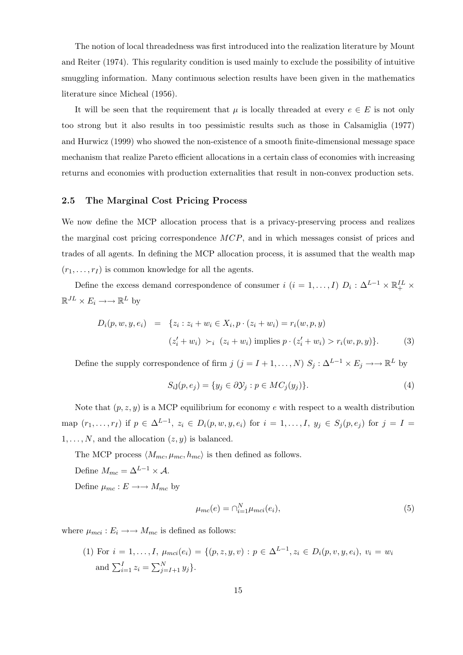The notion of local threadedness was first introduced into the realization literature by Mount and Reiter (1974). This regularity condition is used mainly to exclude the possibility of intuitive smuggling information. Many continuous selection results have been given in the mathematics literature since Micheal (1956).

It will be seen that the requirement that  $\mu$  is locally threaded at every  $e \in E$  is not only too strong but it also results in too pessimistic results such as those in Calsamiglia (1977) and Hurwicz (1999) who showed the non-existence of a smooth finite-dimensional message space mechanism that realize Pareto efficient allocations in a certain class of economies with increasing returns and economies with production externalities that result in non-convex production sets.

#### 2.5 The Marginal Cost Pricing Process

We now define the MCP allocation process that is a privacy-preserving process and realizes the marginal cost pricing correspondence MCP, and in which messages consist of prices and trades of all agents. In defining the MCP allocation process, it is assumed that the wealth map  $(r_1, \ldots, r_I)$  is common knowledge for all the agents.

Define the excess demand correspondence of consumer  $i$   $(i = 1, ..., I)$   $D_i: \Delta^{L-1} \times \mathbb{R}^{IL}_+ \times$  $\mathbb{R}^{JL} \times E_i \longrightarrow \mathbb{R}^L$  by

$$
D_i(p, w, y, e_i) = \{z_i : z_i + w_i \in X_i, p \cdot (z_i + w_i) = r_i(w, p, y) (z'_i + w_i) \succ_i (z_i + w_i) \text{ implies } p \cdot (z'_i + w_i) > r_i(w, p, y) \}. \tag{3}
$$

Define the supply correspondence of firm  $j$   $(j = I + 1, ..., N)$   $S_j : \Delta^{L-1} \times E_j \longrightarrow \mathbb{R}^L$  by

$$
S_{i,j}(p, e_j) = \{ y_j \in \partial \mathcal{Y}_j : p \in MC_j(y_j) \}. \tag{4}
$$

Note that  $(p, z, y)$  is a MCP equilibrium for economy e with respect to a wealth distribution map  $(r_1,...,r_I)$  if  $p \in \Delta^{L-1}$ ,  $z_i \in D_i(p,w,y,e_i)$  for  $i = 1,...,I$ ,  $y_j \in S_j(p,e_j)$  for  $j = I =$  $1, \ldots, N$ , and the allocation  $(z, y)$  is balanced.

The MCP process  $\langle M_{mc}, \mu_{mc}, h_{mc} \rangle$  is then defined as follows. Define  $M_{mc} = \Delta^{L-1} \times A$ .

Define  $\mu_{mc}: E \longrightarrow M_{mc}$  by

$$
\mu_{mc}(e) = \bigcap_{i=1}^{N} \mu_{mci}(e_i),\tag{5}
$$

where  $\mu_{mci}: E_i \longrightarrow M_{mc}$  is defined as follows:

(1) For 
$$
i = 1, ..., I
$$
,  $\mu_{mci}(e_i) = \{(p, z, y, v) : p \in \Delta^{L-1}, z_i \in D_i(p, v, y, e_i), v_i = w_i$   
and  $\sum_{i=1}^{I} z_i = \sum_{j=I+1}^{N} y_j\}.$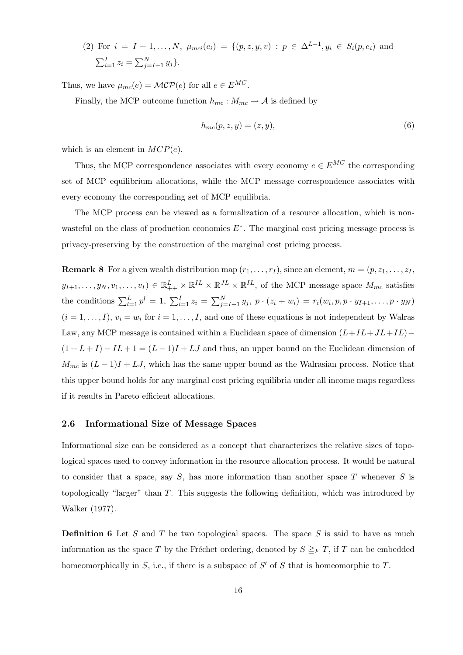(2) For 
$$
i = I + 1, ..., N
$$
,  $\mu_{mci}(e_i) = \{(p, z, y, v) : p \in \Delta^{L-1}, y_i \in S_i(p, e_i) \text{ and } \sum_{i=1}^{I} z_i = \sum_{j=I+1}^{N} y_j\}.$ 

Thus, we have  $\mu_{mc}(e) = \mathcal{MCP}(e)$  for all  $e \in E^{MC}$ .

Finally, the MCP outcome function  $h_{mc}: M_{mc} \to A$  is defined by

$$
h_{mc}(p, z, y) = (z, y),\tag{6}
$$

which is an element in  $MCP(e)$ .

Thus, the MCP correspondence associates with every economy  $e \in E^{MC}$  the corresponding set of MCP equilibrium allocations, while the MCP message correspondence associates with every economy the corresponding set of MCP equilibria.

The MCP process can be viewed as a formalization of a resource allocation, which is nonwasteful on the class of production economies  $E^*$ . The marginal cost pricing message process is privacy-preserving by the construction of the marginal cost pricing process.

**Remark 8** For a given wealth distribution map  $(r_1, \ldots, r_I)$ , since an element,  $m = (p, z_1, \ldots, z_I)$  $y_{I+1},\ldots,y_N,v_1,\ldots,v_I) \in \mathbb{R}_{++}^L \times \mathbb{R}^{IL} \times \mathbb{R}^{JL} \times \mathbb{R}^{IL}$ , of the MCP message space  $M_{mc}$  satisfies the conditions  $\sum_{l=1}^{L} p^{l} = 1$ ,  $\sum_{i=1}^{I} z_i = \sum_{j=I+1}^{N} y_j$ ,  $p \cdot (z_i + w_i) = r_i(w_i, p, p \cdot y_{I+1}, \dots, p \cdot y_N)$  $(i = 1, \ldots, I), v_i = w_i$  for  $i = 1, \ldots, I$ , and one of these equations is not independent by Walras Law, any MCP message is contained within a Euclidean space of dimension  $(L+IL+JL+IL)$ −  $(1 + L + I) - IL + 1 = (L - 1)I + LJ$  and thus, an upper bound on the Euclidean dimension of  $M_{mc}$  is  $(L-1)I + LJ$ , which has the same upper bound as the Walrasian process. Notice that this upper bound holds for any marginal cost pricing equilibria under all income maps regardless if it results in Pareto efficient allocations.

#### 2.6 Informational Size of Message Spaces

Informational size can be considered as a concept that characterizes the relative sizes of topological spaces used to convey information in the resource allocation process. It would be natural to consider that a space, say  $S$ , has more information than another space T whenever  $S$  is topologically "larger" than T. This suggests the following definition, which was introduced by Walker (1977).

**Definition 6** Let S and T be two topological spaces. The space S is said to have as much information as the space T by the Fréchet ordering, denoted by  $S \geq_F T$ , if T can be embedded homeomorphically in  $S$ , i.e., if there is a subspace of  $S'$  of  $S$  that is homeomorphic to  $T$ .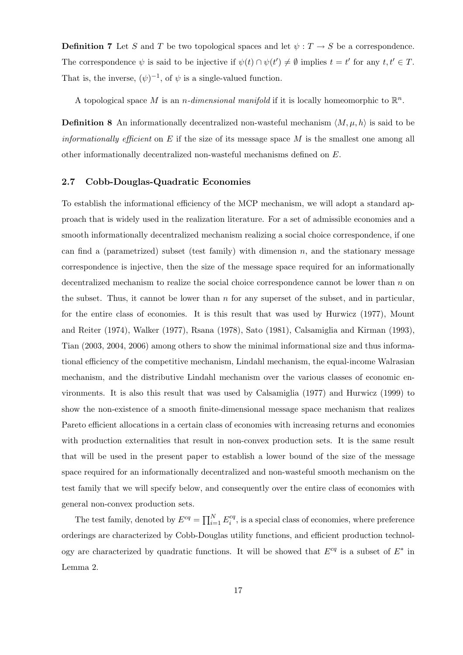**Definition 7** Let S and T be two topological spaces and let  $\psi : T \to S$  be a correspondence. The correspondence  $\psi$  is said to be injective if  $\psi(t) \cap \psi(t') \neq \emptyset$  implies  $t = t'$  for any  $t, t' \in T$ . That is, the inverse,  $(\psi)^{-1}$ , of  $\psi$  is a single-valued function.

A topological space M is an *n*-dimensional manifold if it is locally homeomorphic to  $\mathbb{R}^n$ .

**Definition 8** An informationally decentralized non-wasteful mechanism  $\langle M, \mu, h \rangle$  is said to be *informationally efficient* on E if the size of its message space M is the smallest one among all other informationally decentralized non-wasteful mechanisms defined on E.

#### 2.7 Cobb-Douglas-Quadratic Economies

To establish the informational efficiency of the MCP mechanism, we will adopt a standard approach that is widely used in the realization literature. For a set of admissible economies and a smooth informationally decentralized mechanism realizing a social choice correspondence, if one can find a (parametrized) subset (test family) with dimension  $n$ , and the stationary message correspondence is injective, then the size of the message space required for an informationally decentralized mechanism to realize the social choice correspondence cannot be lower than  $n$  on the subset. Thus, it cannot be lower than  $n$  for any superset of the subset, and in particular, for the entire class of economies. It is this result that was used by Hurwicz (1977), Mount and Reiter (1974), Walker (1977), Rsana (1978), Sato (1981), Calsamiglia and Kirman (1993), Tian (2003, 2004, 2006) among others to show the minimal informational size and thus informational efficiency of the competitive mechanism, Lindahl mechanism, the equal-income Walrasian mechanism, and the distributive Lindahl mechanism over the various classes of economic environments. It is also this result that was used by Calsamiglia (1977) and Hurwicz (1999) to show the non-existence of a smooth finite-dimensional message space mechanism that realizes Pareto efficient allocations in a certain class of economies with increasing returns and economies with production externalities that result in non-convex production sets. It is the same result that will be used in the present paper to establish a lower bound of the size of the message space required for an informationally decentralized and non-wasteful smooth mechanism on the test family that we will specify below, and consequently over the entire class of economies with general non-convex production sets.

The test family, denoted by  $E^{cq} = \prod_{i=1}^{N} E_i^{cq}$  $\mathbf{e}_i^{eq}$ , is a special class of economies, where preference orderings are characterized by Cobb-Douglas utility functions, and efficient production technology are characterized by quadratic functions. It will be showed that  $E^{cq}$  is a subset of  $E^*$  in Lemma 2.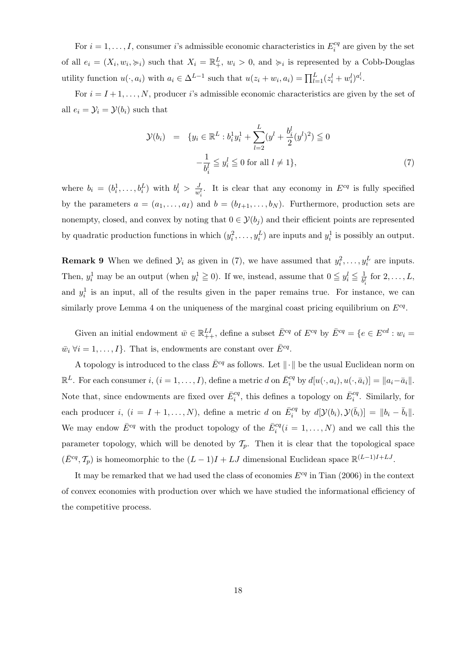For  $i = 1, \ldots, I$ , consumer *i*'s admissible economic characteristics in  $E_i^{cq}$  $i^{cq}$  are given by the set of all  $e_i = (X_i, w_i, \succ_i)$  such that  $X_i = \mathbb{R}^L_+$ ,  $w_i > 0$ , and  $\succ_i$  is represented by a Cobb-Douglas utility function  $u(\cdot, a_i)$  with  $a_i \in \Delta^{L-1}$  such that  $u(z_i + w_i, a_i) = \prod_{l=1}^{L} (z_i^l + w_i^l)^{a_i^l}$ .

For  $i = I + 1, \ldots, N$ , producer i's admissible economic characteristics are given by the set of all  $e_i = \mathcal{Y}_i = \mathcal{Y}(b_i)$  such that

$$
\mathcal{Y}(b_i) = \{ y_i \in \mathbb{R}^L : b_i^1 y_i^1 + \sum_{l=2}^L (y^l + \frac{b_i^l}{2} (y^l)^2) \leq 0
$$
  

$$
-\frac{1}{b_i^l} \leq y_i^l \leq 0 \text{ for all } l \neq 1 \},\tag{7}
$$

where  $b_i = (b_i^1, \ldots, b_i^L)$  with  $b_i^l > \frac{J}{w_i^l}$ . It is clear that any economy in  $E^{cq}$  is fully specified by the parameters  $a = (a_1, \ldots, a_I)$  and  $b = (b_{I+1}, \ldots, b_N)$ . Furthermore, production sets are nonempty, closed, and convex by noting that  $0 \in \mathcal{Y}(b_i)$  and their efficient points are represented by quadratic production functions in which  $(y_i^2, \ldots, y_i^L)$  are inputs and  $y_i^1$  is possibly an output.

**Remark 9** When we defined  $\mathcal{Y}_i$  as given in (7), we have assumed that  $y_i^2, \ldots, y_i^L$  are inputs. Then,  $y_i^1$  may be an output (when  $y_i^1 \ge 0$ ). If we, instead, assume that  $0 \le y_i^1 \le \frac{1}{b^l}$  $\frac{1}{b_i^l}$  for  $2, \ldots, L$ , and  $y_i^1$  is an input, all of the results given in the paper remains true. For instance, we can similarly prove Lemma 4 on the uniqueness of the marginal coast pricing equilibrium on  $E^{cq}$ .

Given an initial endowment  $\bar{w} \in \mathbb{R}^{LI}_{++}$ , define a subset  $\bar{E}^{cq}$  of  $E^{cq}$  by  $\bar{E}^{cq} = \{e \in E^{cd} : w_i = 0\}$  $\bar{w}_i \ \forall i = 1, \ldots, I\}.$  That is, endowments are constant over  $\bar{E}^{cq}$ .

A topology is introduced to the class  $\bar{E}^{cq}$  as follows. Let  $\|\cdot\|$  be the usual Euclidean norm on  $\mathbb{R}^L$ . For each consumer  $i, (i = 1, ..., I)$ , define a metric d on  $\bar{E}_i^{cq}$  by  $d[u(\cdot, a_i), u(\cdot, \bar{a}_i)] = ||a_i - \bar{a}_i||$ . Note that, since endowments are fixed over  $\bar{E}_i^{cq}$ , this defines a topology on  $\bar{E}_i^{cq}$ . Similarly, for each producer *i*,  $(i = I + 1, ..., N)$ , define a metric *d* on  $\overline{E}_i^{cq}$  by  $d[\mathcal{Y}(b_i), \mathcal{Y}(\overline{b}_i)] = ||b_i - \overline{b}_i||$ . We may endow  $\bar{E}^{cq}$  with the product topology of the  $\bar{E}_i^{cq}(i = 1, \ldots, N)$  and we call this the parameter topology, which will be denoted by  $\mathcal{T}_p$ . Then it is clear that the topological space  $(\bar{E}^{cq}, \mathcal{T}_p)$  is homeomorphic to the  $(L-1)I + LJ$  dimensional Euclidean space  $\mathbb{R}^{(L-1)I + LJ}$ .

It may be remarked that we had used the class of economies  $E^{cq}$  in Tian (2006) in the context of convex economies with production over which we have studied the informational efficiency of the competitive process.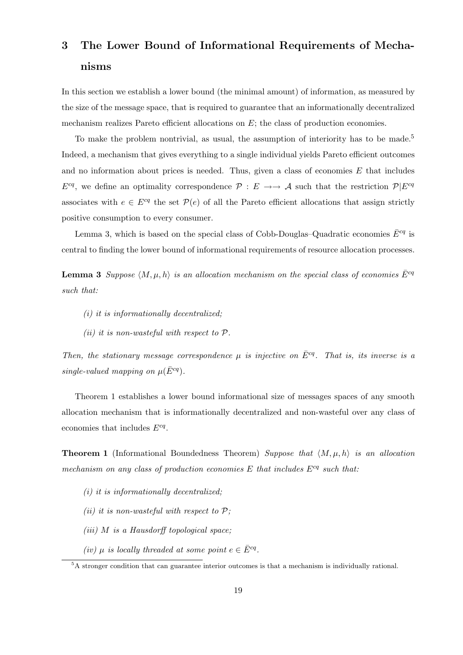# 3 The Lower Bound of Informational Requirements of Mechanisms

In this section we establish a lower bound (the minimal amount) of information, as measured by the size of the message space, that is required to guarantee that an informationally decentralized mechanism realizes Pareto efficient allocations on  $E$ ; the class of production economies.

To make the problem nontrivial, as usual, the assumption of interiority has to be made.<sup>5</sup> Indeed, a mechanism that gives everything to a single individual yields Pareto efficient outcomes and no information about prices is needed. Thus, given a class of economies  $E$  that includes  $E^{cq}$ , we define an optimality correspondence  $\mathcal{P}: E \to \to \mathcal{A}$  such that the restriction  $\mathcal{P}|E^{cq}$ associates with  $e \in E^{cq}$  the set  $\mathcal{P}(e)$  of all the Pareto efficient allocations that assign strictly positive consumption to every consumer.

Lemma 3, which is based on the special class of Cobb-Douglas–Quadratic economies  $\bar{E}^{cq}$  is central to finding the lower bound of informational requirements of resource allocation processes.

**Lemma 3** Suppose  $\langle M, \mu, h \rangle$  is an allocation mechanism on the special class of economies  $\bar{E}^{cq}$ such that:

- $(i)$  it is informationally decentralized;
- (ii) it is non-wasteful with respect to  $P$ .

Then, the stationary message correspondence u is injective on  $\bar{E}^{cq}$ . That is, its inverse is a single-valued mapping on  $\mu(\bar{E}^{cq})$ .

Theorem 1 establishes a lower bound informational size of messages spaces of any smooth allocation mechanism that is informationally decentralized and non-wasteful over any class of economies that includes  $E^{cq}$ .

**Theorem 1** (Informational Boundedness Theorem) Suppose that  $\langle M, \mu, h \rangle$  is an allocation mechanism on any class of production economies E that includes  $E^{cq}$  such that:

- $(i)$  it is informationally decentralized;
- (ii) it is non-wasteful with respect to  $P$ ;
- (iii) M is a Hausdorff topological space;
- (iv)  $\mu$  is locally threaded at some point  $e \in \overline{E}^{cq}$ .

<sup>5</sup>A stronger condition that can guarantee interior outcomes is that a mechanism is individually rational.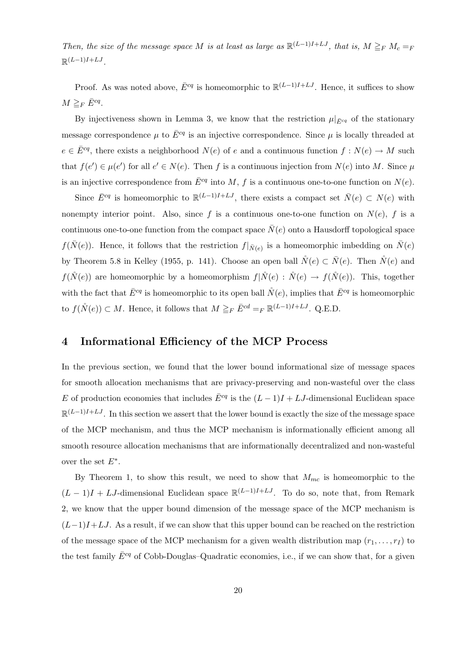Then, the size of the message space M is at least as large as  $\mathbb{R}^{(L-1)I+LJ}$ , that is,  $M \geq_F M_c =_F$  $\mathbb{R}^{(L-1)I+LJ}$ .

Proof. As was noted above,  $\bar{E}^{cq}$  is homeomorphic to  $\mathbb{R}^{(L-1)I+LJ}$ . Hence, it suffices to show  $M \geq_F \bar{E}^{cq}$ .

By injectiveness shown in Lemma 3, we know that the restriction  $\mu|_{\bar{E}^{cq}}$  of the stationary message correspondence  $\mu$  to  $\bar{E}^{cq}$  is an injective correspondence. Since  $\mu$  is locally threaded at  $e \in \overline{E}^{cq}$ , there exists a neighborhood  $N(e)$  of e and a continuous function  $f : N(e) \to M$  such that  $f(e') \in \mu(e')$  for all  $e' \in N(e)$ . Then f is a continuous injection from  $N(e)$  into M. Since  $\mu$ is an injective correspondence from  $\bar{E}^{cq}$  into M, f is a continuous one-to-one function on  $N(e)$ .

Since  $\bar{E}^{cq}$  is homeomorphic to  $\mathbb{R}^{(L-1)I+LJ}$ , there exists a compact set  $\bar{N}(e) \subset N(e)$  with nonempty interior point. Also, since f is a continuous one-to-one function on  $N(e)$ , f is a continuous one-to-one function from the compact space  $\bar{N}(e)$  onto a Hausdorff topological space  $f(\bar{N}(e))$ . Hence, it follows that the restriction  $f|_{\bar{N}(e)}$  is a homeomorphic imbedding on  $\bar{N}(e)$ by Theorem 5.8 in Kelley (1955, p. 141). Choose an open ball  $\mathring{N}(e) \subset \overline{N}(e)$ . Then  $\mathring{N}(e)$  and  $f(\mathring{N}(e))$  are homeomorphic by a homeomorphism  $f(\mathring{N}(e) : \mathring{N}(e) \to f(\mathring{N}(e))$ . This, together with the fact that  $\bar{E}^{cq}$  is homeomorphic to its open ball  $\mathring{N}(e)$ , implies that  $\bar{E}^{cq}$  is homeomorphic to  $f(\mathring{N}(e)) \subset M$ . Hence, it follows that  $M \geq_F \bar{E}^{cd} =_F \mathbb{R}^{(L-1)I+LJ}$ . Q.E.D.

# 4 Informational Efficiency of the MCP Process

In the previous section, we found that the lower bound informational size of message spaces for smooth allocation mechanisms that are privacy-preserving and non-wasteful over the class E of production economies that includes  $\bar{E}^{cq}$  is the  $(L-1)I + LJ$ -dimensional Euclidean space  $\mathbb{R}^{(L-1)I+LJ}$ . In this section we assert that the lower bound is exactly the size of the message space of the MCP mechanism, and thus the MCP mechanism is informationally efficient among all smooth resource allocation mechanisms that are informationally decentralized and non-wasteful over the set  $E^*$ .

By Theorem 1, to show this result, we need to show that  $M_{mc}$  is homeomorphic to the  $(L-1)I + LJ$ -dimensional Euclidean space  $\mathbb{R}^{(L-1)I+LJ}$ . To do so, note that, from Remark 2, we know that the upper bound dimension of the message space of the MCP mechanism is  $(L-1)I+LJ$ . As a result, if we can show that this upper bound can be reached on the restriction of the message space of the MCP mechanism for a given wealth distribution map  $(r_1, \ldots, r_I)$  to the test family  $\bar{E}^{cq}$  of Cobb-Douglas–Quadratic economies, i.e., if we can show that, for a given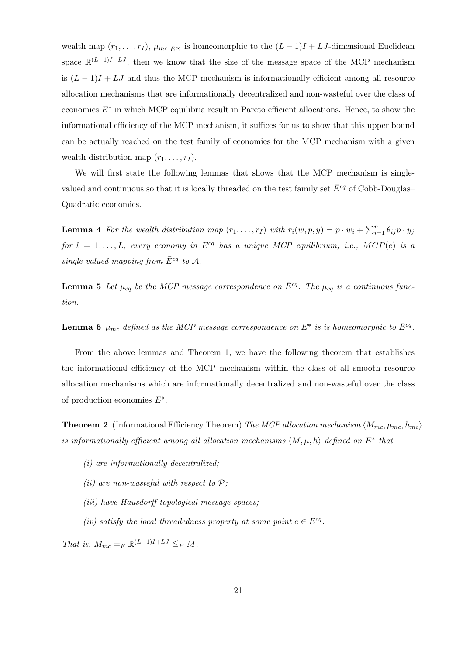wealth map  $(r_1,\ldots,r_I)$ ,  $\mu_{mc}|_{\bar{E}^{cq}}$  is homeomorphic to the  $(L-1)I + LJ$ -dimensional Euclidean space  $\mathbb{R}^{(L-1)I+LJ}$ , then we know that the size of the message space of the MCP mechanism is  $(L-1)I + LJ$  and thus the MCP mechanism is informationally efficient among all resource allocation mechanisms that are informationally decentralized and non-wasteful over the class of economies  $E^*$  in which MCP equilibria result in Pareto efficient allocations. Hence, to show the informational efficiency of the MCP mechanism, it suffices for us to show that this upper bound can be actually reached on the test family of economies for the MCP mechanism with a given wealth distribution map  $(r_1, \ldots, r_I)$ .

We will first state the following lemmas that shows that the MCP mechanism is singlevalued and continuous so that it is locally threaded on the test family set  $\bar{E}^{cq}$  of Cobb-Douglas– Quadratic economies.

**Lemma 4** For the wealth distribution map  $(r_1, \ldots, r_I)$  with  $r_i(w, p, y) = p \cdot w_i + \sum_{i=1}^n \theta_{ij} p \cdot y_j$ for  $l = 1, ..., L$ , every economy in  $\bar{E}^{cq}$  has a unique MCP equilibrium, i.e., MCP(e) is a single-valued mapping from  $\bar{E}^{cq}$  to A.

**Lemma 5** Let  $\mu_{cq}$  be the MCP message correspondence on  $\bar{E}^{cq}$ . The  $\mu_{cq}$  is a continuous function.

**Lemma 6**  $\mu_{mc}$  defined as the MCP message correspondence on  $E^*$  is is homeomorphic to  $\bar{E}^{cq}$ .

From the above lemmas and Theorem 1, we have the following theorem that establishes the informational efficiency of the MCP mechanism within the class of all smooth resource allocation mechanisms which are informationally decentralized and non-wasteful over the class of production economies  $E^*$ .

**Theorem 2** (Informational Efficiency Theorem) The MCP allocation mechanism  $\langle M_{mc}, \mu_{mc}, h_{mc} \rangle$ is informationally efficient among all allocation mechanisms  $\langle M, \mu, h \rangle$  defined on  $E^*$  that

- (i) are informationally decentralized;
- (ii) are non-wasteful with respect to  $P$ ;
- (iii) have Hausdorff topological message spaces;
- (iv) satisfy the local threadedness property at some point  $e \in \overline{E}^{cq}$ .

That is,  $M_{mc} =_F \mathbb{R}^{(L-1)I+LJ} \leq_F M$ .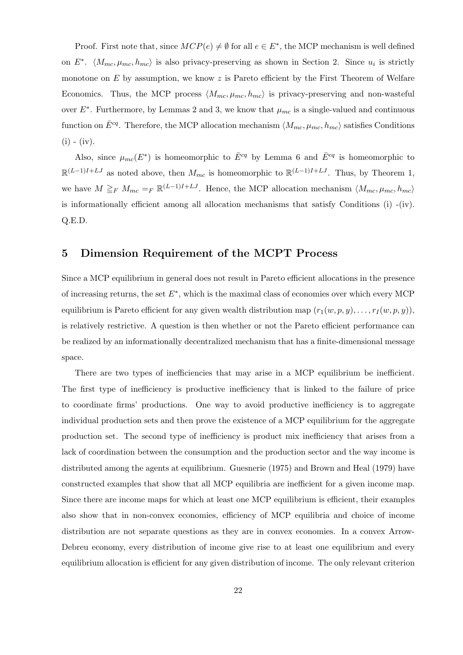Proof. First note that, since  $MCP(e) \neq \emptyset$  for all  $e \in E^*$ , the MCP mechanism is well defined on  $E^*$ .  $\langle M_{mc}, \mu_{mc}, h_{mc} \rangle$  is also privacy-preserving as shown in Section 2. Since  $u_i$  is strictly monotone on  $E$  by assumption, we know  $z$  is Pareto efficient by the First Theorem of Welfare Economics. Thus, the MCP process  $\langle M_{mc}, \mu_{mc}, h_{mc} \rangle$  is privacy-preserving and non-wasteful over  $E^*$ . Furthermore, by Lemmas 2 and 3, we know that  $\mu_{mc}$  is a single-valued and continuous function on  $\bar{E}^{cq}$ . Therefore, the MCP allocation mechanism  $\langle M_{mc}, \mu_{mc}, h_{mc} \rangle$  satisfies Conditions  $(i) - (iv).$ 

Also, since  $\mu_{mc}(E^*)$  is homeomorphic to  $\bar{E}^{cq}$  by Lemma 6 and  $\bar{E}^{cq}$  is homeomorphic to  $\mathbb{R}^{(L-1)I+LJ}$  as noted above, then  $M_{mc}$  is homeomorphic to  $\mathbb{R}^{(L-1)I+LJ}$ . Thus, by Theorem 1, we have  $M \geq_F M_{mc} = F \mathbb{R}^{(L-1)I+LJ}$ . Hence, the MCP allocation mechanism  $\langle M_{mc}, \mu_{mc}, h_{mc} \rangle$ is informationally efficient among all allocation mechanisms that satisfy Conditions  $(i)$  -(iv). Q.E.D.

## 5 Dimension Requirement of the MCPT Process

Since a MCP equilibrium in general does not result in Pareto efficient allocations in the presence of increasing returns, the set  $E^*$ , which is the maximal class of economies over which every MCP equilibrium is Pareto efficient for any given wealth distribution map  $(r_1(w,p,y), \ldots, r_I(w,p,y)),$ is relatively restrictive. A question is then whether or not the Pareto efficient performance can be realized by an informationally decentralized mechanism that has a finite-dimensional message space.

There are two types of inefficiencies that may arise in a MCP equilibrium be inefficient. The first type of inefficiency is productive inefficiency that is linked to the failure of price to coordinate firms' productions. One way to avoid productive inefficiency is to aggregate individual production sets and then prove the existence of a MCP equilibrium for the aggregate production set. The second type of inefficiency is product mix inefficiency that arises from a lack of coordination between the consumption and the production sector and the way income is distributed among the agents at equilibrium. Guesnerie (1975) and Brown and Heal (1979) have constructed examples that show that all MCP equilibria are inefficient for a given income map. Since there are income maps for which at least one MCP equilibrium is efficient, their examples also show that in non-convex economies, efficiency of MCP equilibria and choice of income distribution are not separate questions as they are in convex economies. In a convex Arrow-Debreu economy, every distribution of income give rise to at least one equilibrium and every equilibrium allocation is efficient for any given distribution of income. The only relevant criterion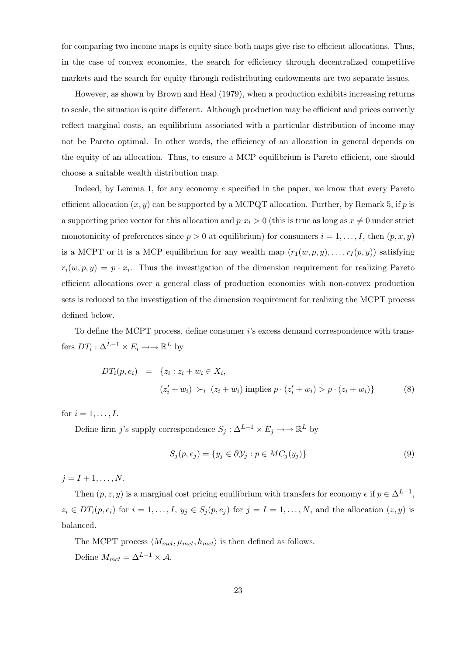for comparing two income maps is equity since both maps give rise to efficient allocations. Thus, in the case of convex economies, the search for efficiency through decentralized competitive markets and the search for equity through redistributing endowments are two separate issues.

However, as shown by Brown and Heal (1979), when a production exhibits increasing returns to scale, the situation is quite different. Although production may be efficient and prices correctly reflect marginal costs, an equilibrium associated with a particular distribution of income may not be Pareto optimal. In other words, the efficiency of an allocation in general depends on the equity of an allocation. Thus, to ensure a MCP equilibrium is Pareto efficient, one should choose a suitable wealth distribution map.

Indeed, by Lemma 1, for any economy e specified in the paper, we know that every Pareto efficient allocation  $(x, y)$  can be supported by a MCPQT allocation. Further, by Remark 5, if p is a supporting price vector for this allocation and  $p \cdot x_i > 0$  (this is true as long as  $x \neq 0$  under strict monotonicity of preferences since  $p > 0$  at equilibrium) for consumers  $i = 1, \ldots, I$ , then  $(p, x, y)$ is a MCPT or it is a MCP equilibrium for any wealth map  $(r_1(w, p, y), \ldots, r_I(p, y))$  satisfying  $r_i(w, p, y) = p \cdot x_i$ . Thus the investigation of the dimension requirement for realizing Pareto efficient allocations over a general class of production economies with non-convex production sets is reduced to the investigation of the dimension requirement for realizing the MCPT process defined below.

To define the MCPT process, define consumer i's excess demand correspondence with transfers  $DT_i: \Delta^{L-1} \times E_i \longrightarrow \mathbb{R}^L$  by

$$
DT_i(p, e_i) = \{z_i : z_i + w_i \in X_i, (z'_i + w_i) \succ_i (z_i + w_i) \text{ implies } p \cdot (z'_i + w_i) > p \cdot (z_i + w_i) \}
$$
(8)

for  $i = 1, \ldots, I$ .

Define firm j's supply correspondence  $S_j : \Delta^{L-1} \times E_j \longrightarrow \mathbb{R}^L$  by

$$
S_j(p, e_j) = \{ y_j \in \partial \mathcal{Y}_j : p \in MC_j(y_j) \}
$$
\n
$$
(9)
$$

 $j = I + 1, \ldots, N.$ 

Then  $(p, z, y)$  is a marginal cost pricing equilibrium with transfers for economy e if  $p \in \Delta^{L-1}$ ,  $z_i \in DT_i(p, e_i)$  for  $i = 1, \ldots, I, y_j \in S_j(p, e_j)$  for  $j = I = 1, \ldots, N$ , and the allocation  $(z, y)$  is balanced.

The MCPT process  $\langle M_{mct}, \mu_{mct}, h_{mct} \rangle$  is then defined as follows. Define  $M_{met} = \Delta^{L-1} \times A$ .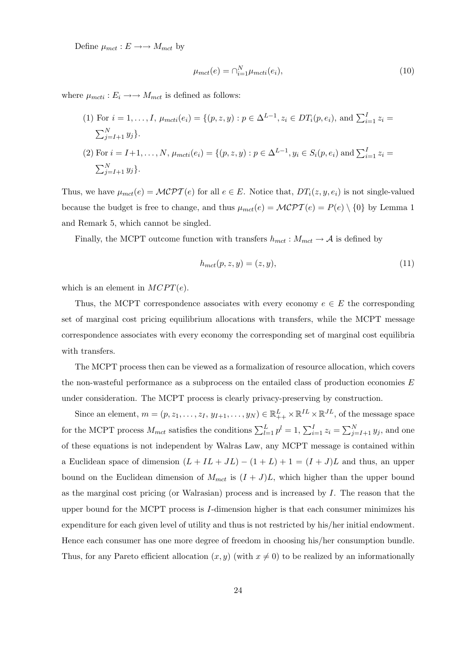Define  $\mu_{met}: E \longrightarrow M_{met}$  by

$$
\mu_{mct}(e) = \bigcap_{i=1}^{N} \mu_{mcti}(e_i),\tag{10}
$$

where  $\mu_{mcti} : E_i \longrightarrow M_{mct}$  is defined as follows:

(1) For 
$$
i = 1, ..., I
$$
,  $\mu_{mcti}(e_i) = \{(p, z, y) : p \in \Delta^{L-1}, z_i \in DT_i(p, e_i), \text{ and } \sum_{i=1}^{I} z_i = \sum_{j=I+1}^{N} y_j\}.$   
\n(2) For  $i = I+1, ..., N$ ,  $\mu_{mcti}(e_i) = \{(p, z, y) : p \in \Delta^{L-1}, y_i \in S_i(p, e_i) \text{ and } \sum_{i=1}^{I} z_i = \sum_{j=I+1}^{N} y_j\}.$ 

Thus, we have  $\mu_{mct}(e) = \mathcal{MCPT}(e)$  for all  $e \in E$ . Notice that,  $DT_i(z, y, e_i)$  is not single-valued because the budget is free to change, and thus  $\mu_{mct}(e) = \mathcal{MCPT}(e) = P(e) \setminus \{0\}$  by Lemma 1 and Remark 5, which cannot be singled.

Finally, the MCPT outcome function with transfers  $h_{mct}$ :  $M_{mct} \rightarrow A$  is defined by

$$
h_{mct}(p, z, y) = (z, y),\tag{11}
$$

which is an element in  $MCPT(e)$ .

Thus, the MCPT correspondence associates with every economy  $e \in E$  the corresponding set of marginal cost pricing equilibrium allocations with transfers, while the MCPT message correspondence associates with every economy the corresponding set of marginal cost equilibria with transfers.

The MCPT process then can be viewed as a formalization of resource allocation, which covers the non-wasteful performance as a subprocess on the entailed class of production economies  $E$ under consideration. The MCPT process is clearly privacy-preserving by construction.

Since an element,  $m = (p, z_1, \ldots, z_I, y_{I+1}, \ldots, y_N) \in \mathbb{R}^L_{++} \times \mathbb{R}^{IL} \times \mathbb{R}^{JL}$ , of the message space for the MCPT process  $M_{met}$  satisfies the conditions  $\sum_{l=1}^{L} p^{l} = 1$ ,  $\sum_{i=1}^{I} z_i = \sum_{j=I+1}^{N} y_j$ , and one of these equations is not independent by Walras Law, any MCPT message is contained within a Euclidean space of dimension  $(L + IL + JL) - (1 + L) + 1 = (I + J)L$  and thus, an upper bound on the Euclidean dimension of  $M_{mct}$  is  $(I + J)L$ , which higher than the upper bound as the marginal cost pricing (or Walrasian) process and is increased by  $I$ . The reason that the upper bound for the MCPT process is I-dimension higher is that each consumer minimizes his expenditure for each given level of utility and thus is not restricted by his/her initial endowment. Hence each consumer has one more degree of freedom in choosing his/her consumption bundle. Thus, for any Pareto efficient allocation  $(x, y)$  (with  $x \neq 0$ ) to be realized by an informationally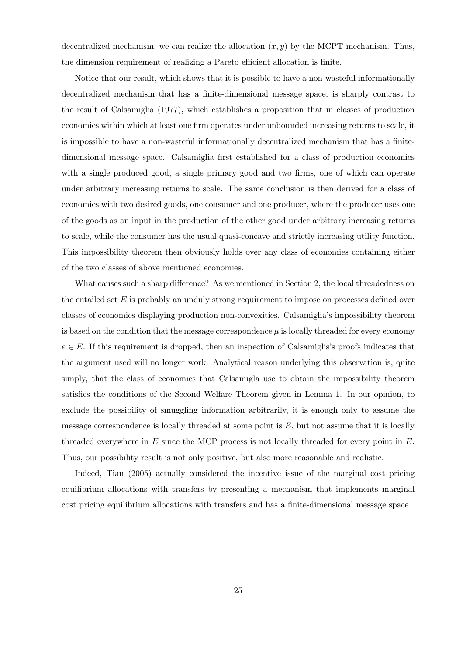decentralized mechanism, we can realize the allocation  $(x, y)$  by the MCPT mechanism. Thus, the dimension requirement of realizing a Pareto efficient allocation is finite.

Notice that our result, which shows that it is possible to have a non-wasteful informationally decentralized mechanism that has a finite-dimensional message space, is sharply contrast to the result of Calsamiglia (1977), which establishes a proposition that in classes of production economies within which at least one firm operates under unbounded increasing returns to scale, it is impossible to have a non-wasteful informationally decentralized mechanism that has a finitedimensional message space. Calsamiglia first established for a class of production economies with a single produced good, a single primary good and two firms, one of which can operate under arbitrary increasing returns to scale. The same conclusion is then derived for a class of economies with two desired goods, one consumer and one producer, where the producer uses one of the goods as an input in the production of the other good under arbitrary increasing returns to scale, while the consumer has the usual quasi-concave and strictly increasing utility function. This impossibility theorem then obviously holds over any class of economies containing either of the two classes of above mentioned economies.

What causes such a sharp difference? As we mentioned in Section 2, the local threadedness on the entailed set  $E$  is probably an unduly strong requirement to impose on processes defined over classes of economies displaying production non-convexities. Calsamiglia's impossibility theorem is based on the condition that the message correspondence  $\mu$  is locally threaded for every economy  $e \in E$ . If this requirement is dropped, then an inspection of Calsamiglis's proofs indicates that the argument used will no longer work. Analytical reason underlying this observation is, quite simply, that the class of economies that Calsamigla use to obtain the impossibility theorem satisfies the conditions of the Second Welfare Theorem given in Lemma 1. In our opinion, to exclude the possibility of smuggling information arbitrarily, it is enough only to assume the message correspondence is locally threaded at some point is  $E$ , but not assume that it is locally threaded everywhere in  $E$  since the MCP process is not locally threaded for every point in  $E$ . Thus, our possibility result is not only positive, but also more reasonable and realistic.

Indeed, Tian (2005) actually considered the incentive issue of the marginal cost pricing equilibrium allocations with transfers by presenting a mechanism that implements marginal cost pricing equilibrium allocations with transfers and has a finite-dimensional message space.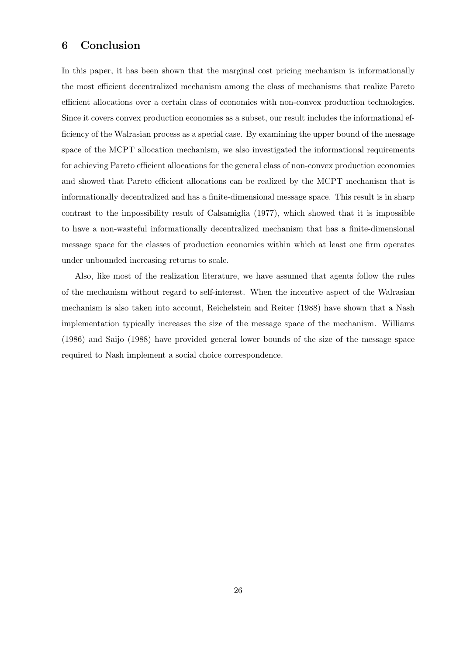## 6 Conclusion

In this paper, it has been shown that the marginal cost pricing mechanism is informationally the most efficient decentralized mechanism among the class of mechanisms that realize Pareto efficient allocations over a certain class of economies with non-convex production technologies. Since it covers convex production economies as a subset, our result includes the informational efficiency of the Walrasian process as a special case. By examining the upper bound of the message space of the MCPT allocation mechanism, we also investigated the informational requirements for achieving Pareto efficient allocations for the general class of non-convex production economies and showed that Pareto efficient allocations can be realized by the MCPT mechanism that is informationally decentralized and has a finite-dimensional message space. This result is in sharp contrast to the impossibility result of Calsamiglia (1977), which showed that it is impossible to have a non-wasteful informationally decentralized mechanism that has a finite-dimensional message space for the classes of production economies within which at least one firm operates under unbounded increasing returns to scale.

Also, like most of the realization literature, we have assumed that agents follow the rules of the mechanism without regard to self-interest. When the incentive aspect of the Walrasian mechanism is also taken into account, Reichelstein and Reiter (1988) have shown that a Nash implementation typically increases the size of the message space of the mechanism. Williams (1986) and Saijo (1988) have provided general lower bounds of the size of the message space required to Nash implement a social choice correspondence.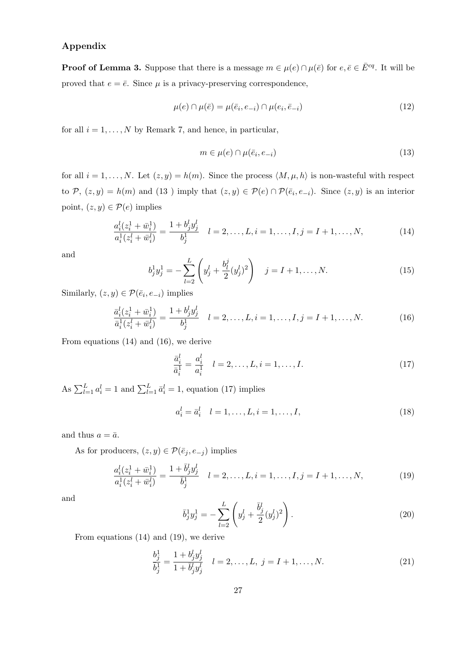#### Appendix

**Proof of Lemma 3.** Suppose that there is a message  $m \in \mu(e) \cap \mu(\bar{e})$  for  $e, \bar{e} \in \bar{E}^{cq}$ . It will be proved that  $e = \overline{e}$ . Since  $\mu$  is a privacy-preserving correspondence,

$$
\mu(e) \cap \mu(\bar{e}) = \mu(\bar{e}_i, e_{-i}) \cap \mu(e_i, \bar{e}_{-i})
$$
\n(12)

for all  $i = 1, \ldots, N$  by Remark 7, and hence, in particular,

$$
m \in \mu(e) \cap \mu(\bar{e}_i, e_{-i}) \tag{13}
$$

for all  $i = 1, ..., N$ . Let  $(z, y) = h(m)$ . Since the process  $\langle M, \mu, h \rangle$  is non-wasteful with respect to P,  $(z, y) = h(m)$  and  $(13)$  imply that  $(z, y) \in \mathcal{P}(e) \cap \mathcal{P}(\bar{e}_i, e_{-i})$ . Since  $(z, y)$  is an interior point,  $(z, y) \in \mathcal{P}(e)$  implies

$$
\frac{a_i^l(z_i^1 + \bar{w}_i^1)}{a_i^1(z_i^l + \bar{w}_i^l)} = \frac{1 + b_j^l y_j^l}{b_j^1} \quad l = 2, \dots, L, i = 1, \dots, I, j = I + 1, \dots, N,
$$
\n(14)

and

$$
b_j^1 y_j^1 = -\sum_{l=2}^L \left( y_j^l + \frac{b_l^j}{2} (y_j^l)^2 \right) \quad j = I + 1, \dots, N. \tag{15}
$$

Similarly,  $(z, y) \in \mathcal{P}(\bar{e}_i, e_{-i})$  implies

$$
\frac{\bar{a}_i^l(z_i^1 + \bar{w}_i^1)}{\bar{a}_i^1(z_i^l + \bar{w}_i^l)} = \frac{1 + b_j^l y_j^l}{b_j^1} \quad l = 2, \dots, L, i = 1, \dots, I, j = I + 1, \dots, N. \tag{16}
$$

From equations (14) and (16), we derive

$$
\frac{\bar{a}_i^l}{\bar{a}_i^1} = \frac{a_i^l}{a_i^1} \quad l = 2, \dots, L, i = 1, \dots, I.
$$
\n(17)

As  $\sum_{l=1}^{L} a_i^l = 1$  and  $\sum_{l=1}^{L} \bar{a}_i^l = 1$ , equation (17) implies

$$
a_i^l = \bar{a}_i^l \quad l = 1, \dots, L, i = 1, \dots, I,
$$
\n(18)

and thus  $a = \bar{a}$ .

As for producers,  $(z, y) \in \mathcal{P}(\bar{e}_j, e_{-j})$  implies

$$
\frac{a_i^l(z_i^1 + \bar{w}_i^1)}{a_i^1(z_i^l + \bar{w}_i^l)} = \frac{1 + \bar{b}_j^l y_j^l}{\bar{b}_j^1} \quad l = 2, \dots, L, i = 1, \dots, I, j = I + 1, \dots, N,
$$
\n(19)

and

$$
\bar{b}_j^1 y_j^1 = -\sum_{l=2}^L \left( y_j^l + \frac{\bar{b}_j^l}{2} (y_j^l)^2 \right). \tag{20}
$$

From equations (14) and (19), we derive

$$
\frac{b_j^1}{\bar{b}_j^1} = \frac{1 + b_j^l y_j^l}{1 + \bar{b}_j^l y_j^l} \quad l = 2, \dots, L, \ j = I + 1, \dots, N. \tag{21}
$$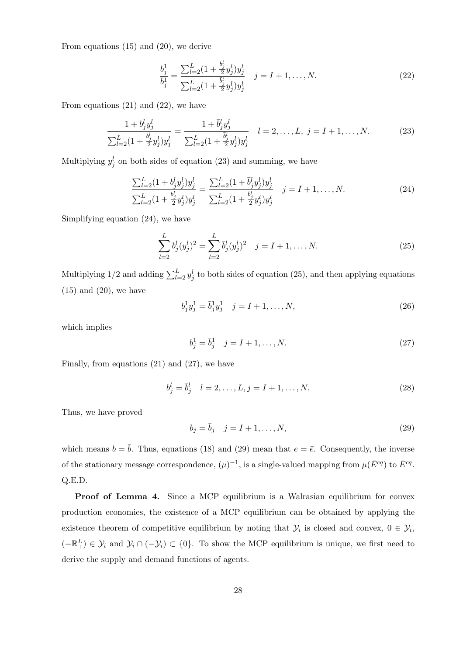From equations (15) and (20), we derive

$$
\frac{b_j^1}{\bar{b}_j^1} = \frac{\sum_{l=2}^L (1 + \frac{b_j^l}{2} y_j^l) y_j^l}{\sum_{l=2}^L (1 + \frac{\bar{b}_j^l}{2} y_j^l) y_j^l} \quad j = I + 1, \dots, N.
$$
\n(22)

From equations  $(21)$  and  $(22)$ , we have

$$
\frac{1+b_j^l y_j^l}{\sum_{l=2}^L (1+\frac{b_j^l}{2}y_j^l)y_j^l} = \frac{1+\bar{b}_j^l y_j^l}{\sum_{l=2}^L (1+\frac{\bar{b}_j^l}{2}y_j^l)y_j^l} \quad l=2,\ldots,L, \ j=I+1,\ldots,N. \tag{23}
$$

Multiplying  $y_j^l$  on both sides of equation (23) and summing, we have

$$
\frac{\sum_{l=2}^{L} (1 + b_j^l y_j^l) y_j^l}{\sum_{l=2}^{L} (1 + \frac{b_j^l}{2} y_j^l) y_j^l} = \frac{\sum_{l=2}^{L} (1 + \bar{b}_j^l y_j^l) y_j^l}{\sum_{l=2}^{L} (1 + \frac{b_j^l}{2} y_j^l) y_j^l} \quad j = I + 1, ..., N.
$$
\n(24)

Simplifying equation (24), we have

$$
\sum_{l=2}^{L} b_j^l (y_j^l)^2 = \sum_{l=2}^{L} \bar{b}_j^l (y_j^l)^2 \quad j = I + 1, ..., N.
$$
 (25)

Multiplying 1/2 and adding  $\sum_{l=2}^{L} y_j^l$  to both sides of equation (25), and then applying equations  $(15)$  and  $(20)$ , we have

$$
b_j^1 y_j^1 = \bar{b}_j^1 y_j^1 \quad j = I + 1, \dots, N,
$$
\n(26)

which implies

$$
b_j^1 = \bar{b}_j^1 \quad j = I + 1, \dots, N. \tag{27}
$$

Finally, from equations (21) and (27), we have

$$
b_j^l = \bar{b}_j^l \quad l = 2, \dots, L, j = I + 1, \dots, N. \tag{28}
$$

Thus, we have proved

$$
b_j = \bar{b}_j \quad j = I + 1, \dots, N,\tag{29}
$$

which means  $b = \bar{b}$ . Thus, equations (18) and (29) mean that  $e = \bar{e}$ . Consequently, the inverse of the stationary message correspondence,  $(\mu)^{-1}$ , is a single-valued mapping from  $\mu(\bar{E}^{cq})$  to  $\bar{E}^{cq}$ . Q.E.D.

Proof of Lemma 4. Since a MCP equilibrium is a Walrasian equilibrium for convex production economies, the existence of a MCP equilibrium can be obtained by applying the existence theorem of competitive equilibrium by noting that  $\mathcal{Y}_i$  is closed and convex,  $0 \in \mathcal{Y}_i$ ,  $(-\mathbb{R}^L_+) \in \mathcal{Y}_i$  and  $\mathcal{Y}_i \cap (-\mathcal{Y}_i) \subset \{0\}$ . To show the MCP equilibrium is unique, we first need to derive the supply and demand functions of agents.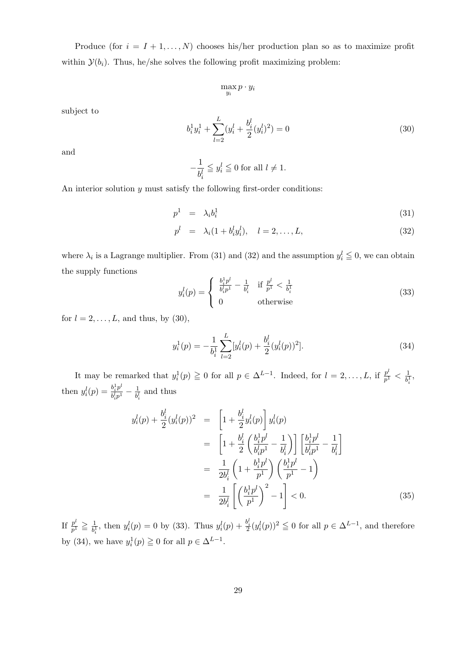Produce (for  $i = I + 1, \ldots, N$ ) chooses his/her production plan so as to maximize profit within  $\mathcal{Y}(b_i)$ . Thus, he/she solves the following profit maximizing problem:

$$
\max_{y_i} p \cdot y_i
$$

subject to

$$
b_i^1 y_i^1 + \sum_{l=2}^{L} (y_i^l + \frac{b_i^l}{2} (y_i^l)^2) = 0
$$
\n(30)

and

$$
-\frac{1}{b_i^l}\leqq y_i^l\leqq 0\text{ for all }l\neq 1.
$$

An interior solution  $y$  must satisfy the following first-order conditions:

$$
p^1 = \lambda_i b_i^1 \tag{31}
$$

$$
p^{l} = \lambda_{i}(1 + b_{i}^{l} y_{i}^{l}), \quad l = 2, ..., L,
$$
\n(32)

where  $\lambda_i$  is a Lagrange multiplier. From (31) and (32) and the assumption  $y_i^l \leq 0$ , we can obtain the supply functions

$$
y_i^l(p) = \begin{cases} \frac{b_i^1 p^l}{b_i^l p^1} - \frac{1}{b_i^l} & \text{if } \frac{p^l}{p^1} < \frac{1}{b_i^1} \\ 0 & \text{otherwise} \end{cases}
$$
 (33)

for  $l = 2, \ldots, L$ , and thus, by (30),

$$
y_i^1(p) = -\frac{1}{b_i^1} \sum_{l=2}^L [y_i^l(p) + \frac{b_i^l}{2} (y_i^l(p))^2].
$$
\n(34)

It may be remarked that  $y_i^1(p) \ge 0$  for all  $p \in \Delta^{L-1}$ . Indeed, for  $l = 2, \ldots, L$ , if  $\frac{p^l}{p^l}$  $\frac{p^t}{p^1}<\frac{1}{b^1_i}$  $\frac{1}{b_i^1},$ then  $y_i^l(p) = \frac{b_i^1 p^l}{b^l p^1}$  $\frac{b_i^1 p^{\iota}}{b_i^l p^1}-\frac{1}{b_i^l}$  $\frac{1}{b_i^l}$  and thus

$$
y_i^l(p) + \frac{b_i^l}{2} (y_i^l(p))^2 = \left[ 1 + \frac{b_i^l}{2} y_i^l(p) \right] y_i^l(p)
$$
  
\n
$$
= \left[ 1 + \frac{b_i^l}{2} \left( \frac{b_i^1 p^l}{b_i^l p^1} - \frac{1}{b_i^l} \right) \right] \left[ \frac{b_i^1 p^l}{b_i^l p^1} - \frac{1}{b_i^l} \right]
$$
  
\n
$$
= \frac{1}{2b_i^l} \left( 1 + \frac{b_i^1 p^l}{p^1} \right) \left( \frac{b_i^1 p^l}{p^1} - 1 \right)
$$
  
\n
$$
= \frac{1}{2b_i^l} \left[ \left( \frac{b_i^1 p^l}{p^1} \right)^2 - 1 \right] < 0.
$$
 (35)

If  $\frac{p^l}{n^1}$  $\frac{p^{\iota}}{p^1} \geqq \frac{1}{b^1_i}$  $\frac{1}{b_i^1}$ , then  $y_i^l(p) = 0$  by (33). Thus  $y_i^l(p) + \frac{b_i^l}{2}(y_i^l(p))^2 \leq 0$  for all  $p \in \Delta^{L-1}$ , and therefore by (34), we have  $y_i^1(p) \ge 0$  for all  $p \in \Delta^{L-1}$ .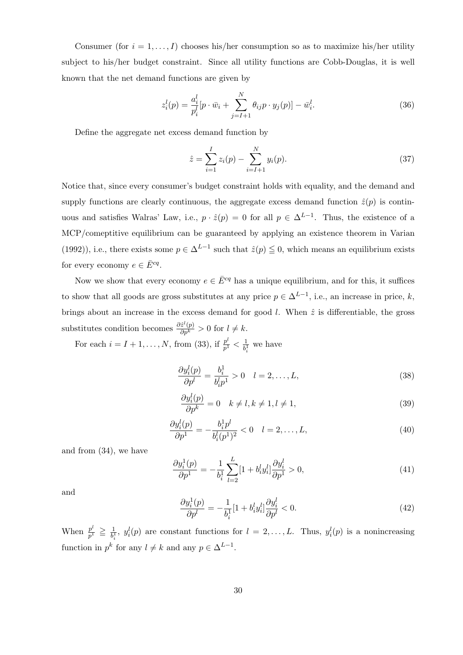Consumer (for  $i = 1, ..., I$ ) chooses his/her consumption so as to maximize his/her utility subject to his/her budget constraint. Since all utility functions are Cobb-Douglas, it is well known that the net demand functions are given by

$$
z_i^l(p) = \frac{a_i^l}{p_i^l} [p \cdot \bar{w}_i + \sum_{j=l+1}^N \theta_{ij} p \cdot y_j(p)] - \bar{w}_i^l.
$$
 (36)

Define the aggregate net excess demand function by

$$
\hat{z} = \sum_{i=1}^{I} z_i(p) - \sum_{i=I+1}^{N} y_i(p).
$$
 (37)

Notice that, since every consumer's budget constraint holds with equality, and the demand and supply functions are clearly continuous, the aggregate excess demand function  $\hat{z}(p)$  is continuous and satisfies Walras' Law, i.e.,  $p \cdot \hat{z}(p) = 0$  for all  $p \in \Delta^{L-1}$ . Thus, the existence of a MCP/comeptitive equilibrium can be guaranteed by applying an existence theorem in Varian (1992)), i.e., there exists some  $p \in \Delta^{L-1}$  such that  $\hat{z}(p) \leq 0$ , which means an equilibrium exists for every economy  $e \in \overline{E}^{cq}$ .

Now we show that every economy  $e \in \overline{E}^{cq}$  has a unique equilibrium, and for this, it suffices to show that all goods are gross substitutes at any price  $p \in \Delta^{L-1}$ , i.e., an increase in price, k, brings about an increase in the excess demand for good l. When  $\hat{z}$  is differentiable, the gross substitutes condition becomes  $\frac{\partial \hat{z}^l(p)}{\partial p^k} > 0$  for  $l \neq k$ .

For each  $i = I + 1, \ldots, N$ , from (33), if  $\frac{p^l}{n!}$  $\frac{p^t}{p^1}<\frac{1}{b_s^1}$  $\frac{1}{b_i^1}$  we have

$$
\frac{\partial y_i^l(p)}{\partial p^l} = \frac{b_i^1}{b_i^l p^1} > 0 \quad l = 2, \dots, L,\tag{38}
$$

$$
\frac{\partial y_i^l(p)}{\partial p^k} = 0 \quad k \neq l, k \neq 1, l \neq 1,
$$
\n(39)

$$
\frac{\partial y_i^l(p)}{\partial p^1} = -\frac{b_i^1 p^l}{b_i^l (p^1)^2} < 0 \quad l = 2, \dots, L,\tag{40}
$$

and from (34), we have

$$
\frac{\partial y_i^1(p)}{\partial p^1} = -\frac{1}{b_i^1} \sum_{l=2}^L [1 + b_i^l y_i^l] \frac{\partial y_i^l}{\partial p^1} > 0,\tag{41}
$$

and

$$
\frac{\partial y_i^1(p)}{\partial p^l} = -\frac{1}{b_i^1} [1 + b_i^l y_i^l] \frac{\partial y_i^l}{\partial p^l} < 0. \tag{42}
$$

When  $\frac{p^l}{n^l}$  $\frac{p^{\iota}}{p^1} \geqq \frac{1}{b^1}$  $\frac{1}{b_i^1}$ ,  $y_i^l(p)$  are constant functions for  $l = 2, ..., L$ . Thus,  $y_i^l(p)$  is a nonincreasing function in  $p^k$  for any  $l \neq k$  and any  $p \in \Delta^{L-1}$ .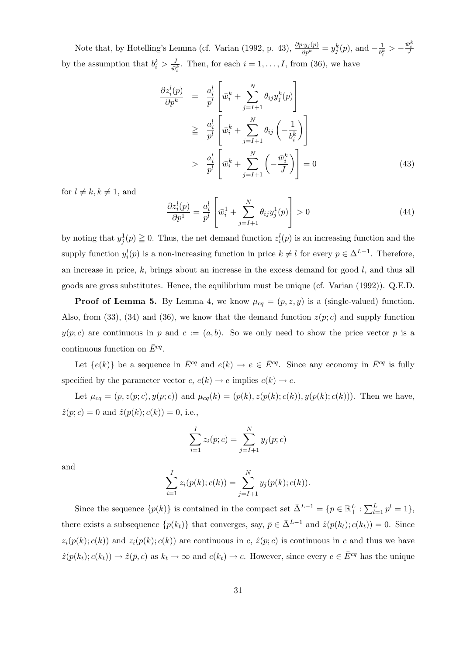Note that, by Hotelling's Lemma (cf. Varian (1992, p. 43),  $\frac{\partial p \cdot y_j(p)}{\partial p^k} = y_j^k(p)$ , and  $-\frac{1}{b_j^k}$  $\frac{1}{b_i^k} > -\frac{\bar{w}_i^k}{J}$ by the assumption that  $b_i^k > \frac{J}{\bar{w}}$  $\frac{J}{\bar{w}_i^k}$ . Then, for each  $i = 1, \ldots, I$ , from (36), we have

$$
\frac{\partial z_i^l(p)}{\partial p^k} = \frac{a_i^l}{p^l} \left[ \bar{w}_i^k + \sum_{j=I+1}^N \theta_{ij} y_j^k(p) \right]
$$
\n
$$
\geq \frac{a_i^l}{p^l} \left[ \bar{w}_i^k + \sum_{j=I+1}^N \theta_{ij} \left( -\frac{1}{b_i^k} \right) \right]
$$
\n
$$
> \frac{a_i^l}{p^l} \left[ \bar{w}_i^k + \sum_{j=I+1}^N \left( -\frac{\bar{w}_i^k}{J} \right) \right] = 0 \tag{43}
$$

for  $l \neq k, k \neq 1$ , and

$$
\frac{\partial z_i^l(p)}{\partial p^1} = \frac{a_i^l}{p^l} \left[ \bar{w}_i^1 + \sum_{j=l+1}^N \theta_{ij} y_j^1(p) \right] > 0 \tag{44}
$$

by noting that  $y_j^1(p) \ge 0$ . Thus, the net demand function  $z_i^l(p)$  is an increasing function and the supply function  $y_i^l(p)$  is a non-increasing function in price  $k \neq l$  for every  $p \in \Delta^{L-1}$ . Therefore, an increase in price,  $k$ , brings about an increase in the excess demand for good  $l$ , and thus all goods are gross substitutes. Hence, the equilibrium must be unique (cf. Varian (1992)). Q.E.D.

**Proof of Lemma 5.** By Lemma 4, we know  $\mu_{cq} = (p, z, y)$  is a (single-valued) function. Also, from (33), (34) and (36), we know that the demand function  $z(p;c)$  and supply function  $y(p; c)$  are continuous in p and  $c := (a, b)$ . So we only need to show the price vector p is a continuous function on  $\bar{E}^{cq}$ .

Let  $\{e(k)\}\$ be a sequence in  $\bar{E}^{cq}$  and  $e(k) \to e \in \bar{E}^{cq}$ . Since any economy in  $\bar{E}^{cq}$  is fully specified by the parameter vector  $c, e(k) \rightarrow e$  implies  $c(k) \rightarrow c$ .

Let  $\mu_{cq} = (p, z(p; c), y(p; c))$  and  $\mu_{cq}(k) = (p(k), z(p(k); c(k)), y(p(k); c(k))).$  Then we have,  $\hat{z}(p;c) = 0$  and  $\hat{z}(p(k);c(k)) = 0$ , i.e.,

$$
\sum_{i=1}^{I} z_i(p;c) = \sum_{j=I+1}^{N} y_j(p;c)
$$

and

$$
\sum_{i=1}^{I} z_i(p(k); c(k)) = \sum_{j=I+1}^{N} y_j(p(k); c(k)).
$$

Since the sequence  $\{p(k)\}\$ is contained in the compact set  $\bar{\Delta}^{L-1} = \{p \in \mathbb{R}^L_+ : \sum_{l=1}^L p^l = 1\},\$ there exists a subsequence  $\{p(k_t)\}\$  that converges, say,  $\bar{p} \in \bar{\Delta}^{L-1}$  and  $\hat{z}(p(k_t); c(k_t)) = 0$ . Since  $z_i(p(k); c(k))$  and  $z_i(p(k); c(k))$  are continuous in c,  $\hat{z}(p;c)$  is continuous in c and thus we have  $\hat{z}(p(k_t); c(k_t)) \to \hat{z}(\bar{p}, c)$  as  $k_t \to \infty$  and  $c(k_t) \to c$ . However, since every  $e \in \bar{E}^{cq}$  has the unique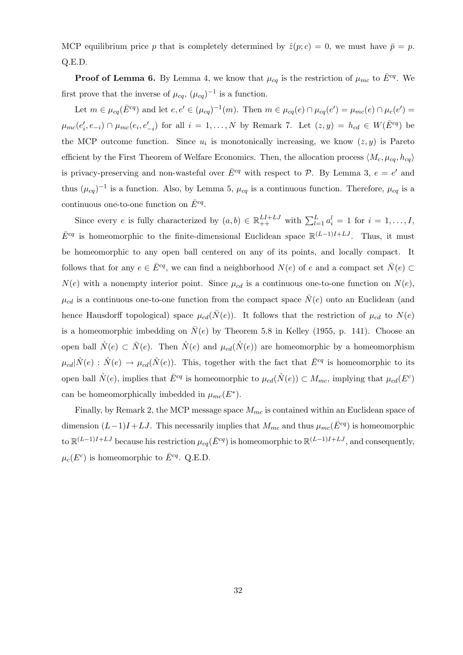MCP equilibrium price p that is completely determined by  $\hat{z}(p;c) = 0$ , we must have  $\bar{p} = p$ . Q.E.D.

**Proof of Lemma 6.** By Lemma 4, we know that  $\mu_{cq}$  is the restriction of  $\mu_{mc}$  to  $\bar{E}^{cq}$ . We first prove that the inverse of  $\mu_{cq}$ ,  $(\mu_{cq})^{-1}$  is a function.

Let  $m \in \mu_{cq}(\overline{E}^{cq})$  and let  $e, e' \in (\mu_{cq})^{-1}(m)$ . Then  $m \in \mu_{cq}(e) \cap \mu_{cq}(e') = \mu_{mc}(e) \cap \mu_{c}(e') =$  $\mu_{mc}(e'_i, e_{-i}) \cap \mu_{mc}(e_i, e'_{-i})$  for all  $i = 1, \ldots, N$  by Remark 7. Let  $(z, y) = h_{cd} \in W(\overline{E}^{cq})$  be the MCP outcome function. Since  $u_i$  is monotonically increasing, we know  $(z, y)$  is Pareto efficient by the First Theorem of Welfare Economics. Then, the allocation process  $\langle M_c, \mu_{ca}, h_{ca} \rangle$ is privacy-preserving and non-wasteful over  $\bar{E}^{cq}$  with respect to  $\mathcal{P}$ . By Lemma 3,  $e = e'$  and thus  $(\mu_{cq})^{-1}$  is a function. Also, by Lemma 5,  $\mu_{cq}$  is a continuous function. Therefore,  $\mu_{cq}$  is a continuous one-to-one function on  $\bar{E}^{cq}$ .

Since every e is fully characterized by  $(a, b) \in \mathbb{R}_{++}^{L+L}$  with  $\sum_{l=1}^{L} a_i^l = 1$  for  $i = 1, ..., L$ ,  $\bar{E}^{cq}$  is homeomorphic to the finite-dimensional Euclidean space  $\mathbb{R}^{(L-1)I+LJ}$ . Thus, it must be homeomorphic to any open ball centered on any of its points, and locally compact. It follows that for any  $e \in \bar{E}^{cq}$ , we can find a neighborhood  $N(e)$  of e and a compact set  $\bar{N}(e) \subset$  $N(e)$  with a nonempty interior point. Since  $\mu_{cd}$  is a continuous one-to-one function on  $N(e)$ ,  $\mu_{cd}$  is a continuous one-to-one function from the compact space  $\bar{N}(e)$  onto an Euclidean (and hence Hausdorff topological) space  $\mu_{cd}(\bar{N}(e))$ . It follows that the restriction of  $\mu_{cd}$  to  $N(e)$ is a homeomorphic imbedding on  $\bar{N}(e)$  by Theorem 5.8 in Kelley (1955, p. 141). Choose an open ball  $\mathring{N}(e) \subset \overline{N}(e)$ . Then  $\mathring{N}(e)$  and  $\mu_{cd}(\mathring{N}(e))$  are homeomorphic by a homeomorphism  $\mu_{cd}|\mathring{N}(e) : \mathring{N}(e) \to \mu_{cd}(\mathring{N}(e))$ . This, together with the fact that  $\bar{E}^{cq}$  is homeomorphic to its open ball  $\mathring{N}(e)$ , implies that  $\bar{E}^{cq}$  is homeomorphic to  $\mu_{cd}(\mathring{N}(e)) \subset M_{mc}$ , implying that  $\mu_{cd}(E^c)$ can be homeomorphically imbedded in  $\mu_{mc}(E^*)$ .

Finally, by Remark 2, the MCP message space  $M_{mc}$  is contained within an Euclidean space of dimension  $(L-1)I + LJ$ . This necessarily implies that  $M_{mc}$  and thus  $\mu_{mc}(\bar{E}^{cq})$  is homeomorphic to  $\mathbb{R}^{(L-1)I+LJ}$  because his restriction  $\mu_{cq}(\bar{E}^{cq})$  is homeomorphic to  $\mathbb{R}^{(L-1)I+LJ}$ , and consequently,  $\mu_c(E^c)$  is homeomorphic to  $\bar{E}^{cq}$ . Q.E.D.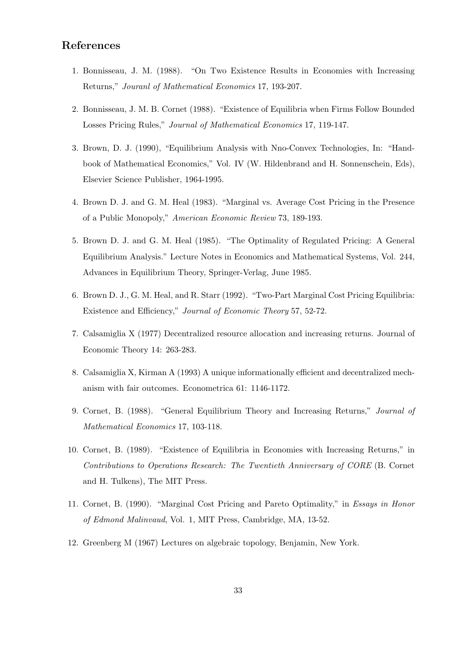# References

- 1. Bonnisseau, J. M. (1988). "On Two Existence Results in Economies with Increasing Returns," Jouranl of Mathematical Economics 17, 193-207.
- 2. Bonnisseau, J. M. B. Cornet (1988). "Existence of Equilibria when Firms Follow Bounded Losses Pricing Rules," Journal of Mathematical Economics 17, 119-147.
- 3. Brown, D. J. (1990), "Equilibrium Analysis with Nno-Convex Technologies, In: "Handbook of Mathematical Economics," Vol. IV (W. Hildenbrand and H. Sonnenschein, Eds), Elsevier Science Publisher, 1964-1995.
- 4. Brown D. J. and G. M. Heal (1983). "Marginal vs. Average Cost Pricing in the Presence of a Public Monopoly," American Economic Review 73, 189-193.
- 5. Brown D. J. and G. M. Heal (1985). "The Optimality of Regulated Pricing: A General Equilibrium Analysis." Lecture Notes in Economics and Mathematical Systems, Vol. 244, Advances in Equilibrium Theory, Springer-Verlag, June 1985.
- 6. Brown D. J., G. M. Heal, and R. Starr (1992). "Two-Part Marginal Cost Pricing Equilibria: Existence and Efficiency," Journal of Economic Theory 57, 52-72.
- 7. Calsamiglia X (1977) Decentralized resource allocation and increasing returns. Journal of Economic Theory 14: 263-283.
- 8. Calsamiglia X, Kirman A (1993) A unique informationally efficient and decentralized mechanism with fair outcomes. Econometrica 61: 1146-1172.
- 9. Cornet, B. (1988). "General Equilibrium Theory and Increasing Returns," Journal of Mathematical Economics 17, 103-118.
- 10. Cornet, B. (1989). "Existence of Equilibria in Economies with Increasing Returns," in Contributions to Operations Research: The Twentieth Anniversary of CORE (B. Cornet and H. Tulkens), The MIT Press.
- 11. Cornet, B. (1990). "Marginal Cost Pricing and Pareto Optimality," in Essays in Honor of Edmond Malinvaud, Vol. 1, MIT Press, Cambridge, MA, 13-52.
- 12. Greenberg M (1967) Lectures on algebraic topology, Benjamin, New York.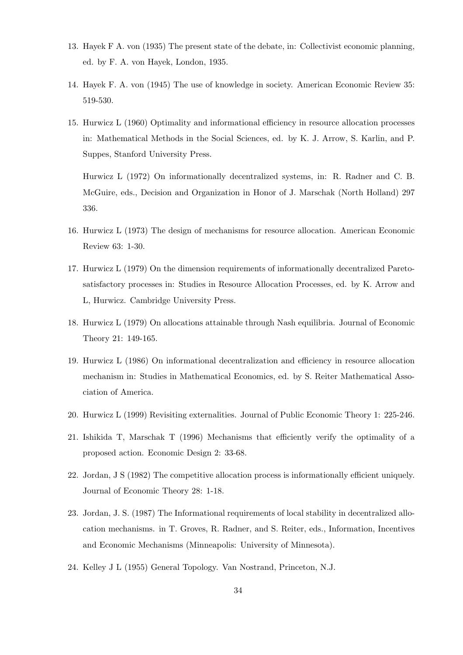- 13. Hayek F A. von (1935) The present state of the debate, in: Collectivist economic planning, ed. by F. A. von Hayek, London, 1935.
- 14. Hayek F. A. von (1945) The use of knowledge in society. American Economic Review 35: 519-530.
- 15. Hurwicz L (1960) Optimality and informational efficiency in resource allocation processes in: Mathematical Methods in the Social Sciences, ed. by K. J. Arrow, S. Karlin, and P. Suppes, Stanford University Press.

Hurwicz L (1972) On informationally decentralized systems, in: R. Radner and C. B. McGuire, eds., Decision and Organization in Honor of J. Marschak (North Holland) 297 336.

- 16. Hurwicz L (1973) The design of mechanisms for resource allocation. American Economic Review 63: 1-30.
- 17. Hurwicz L (1979) On the dimension requirements of informationally decentralized Paretosatisfactory processes in: Studies in Resource Allocation Processes, ed. by K. Arrow and L, Hurwicz. Cambridge University Press.
- 18. Hurwicz L (1979) On allocations attainable through Nash equilibria. Journal of Economic Theory 21: 149-165.
- 19. Hurwicz L (1986) On informational decentralization and efficiency in resource allocation mechanism in: Studies in Mathematical Economics, ed. by S. Reiter Mathematical Association of America.
- 20. Hurwicz L (1999) Revisiting externalities. Journal of Public Economic Theory 1: 225-246.
- 21. Ishikida T, Marschak T (1996) Mechanisms that efficiently verify the optimality of a proposed action. Economic Design 2: 33-68.
- 22. Jordan, J S (1982) The competitive allocation process is informationally efficient uniquely. Journal of Economic Theory 28: 1-18.
- 23. Jordan, J. S. (1987) The Informational requirements of local stability in decentralized allocation mechanisms. in T. Groves, R. Radner, and S. Reiter, eds., Information, Incentives and Economic Mechanisms (Minneapolis: University of Minnesota).
- 24. Kelley J L (1955) General Topology. Van Nostrand, Princeton, N.J.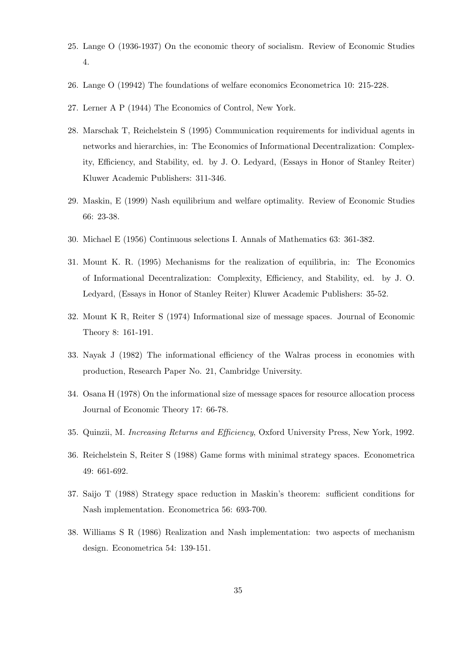- 25. Lange O (1936-1937) On the economic theory of socialism. Review of Economic Studies 4.
- 26. Lange O (19942) The foundations of welfare economics Econometrica 10: 215-228.
- 27. Lerner A P (1944) The Economics of Control, New York.
- 28. Marschak T, Reichelstein S (1995) Communication requirements for individual agents in networks and hierarchies, in: The Economics of Informational Decentralization: Complexity, Efficiency, and Stability, ed. by J. O. Ledyard, (Essays in Honor of Stanley Reiter) Kluwer Academic Publishers: 311-346.
- 29. Maskin, E (1999) Nash equilibrium and welfare optimality. Review of Economic Studies 66: 23-38.
- 30. Michael E (1956) Continuous selections I. Annals of Mathematics 63: 361-382.
- 31. Mount K. R. (1995) Mechanisms for the realization of equilibria, in: The Economics of Informational Decentralization: Complexity, Efficiency, and Stability, ed. by J. O. Ledyard, (Essays in Honor of Stanley Reiter) Kluwer Academic Publishers: 35-52.
- 32. Mount K R, Reiter S (1974) Informational size of message spaces. Journal of Economic Theory 8: 161-191.
- 33. Nayak J (1982) The informational efficiency of the Walras process in economies with production, Research Paper No. 21, Cambridge University.
- 34. Osana H (1978) On the informational size of message spaces for resource allocation process Journal of Economic Theory 17: 66-78.
- 35. Quinzii, M. Increasing Returns and Efficiency, Oxford University Press, New York, 1992.
- 36. Reichelstein S, Reiter S (1988) Game forms with minimal strategy spaces. Econometrica 49: 661-692.
- 37. Saijo T (1988) Strategy space reduction in Maskin's theorem: sufficient conditions for Nash implementation. Econometrica 56: 693-700.
- 38. Williams S R (1986) Realization and Nash implementation: two aspects of mechanism design. Econometrica 54: 139-151.